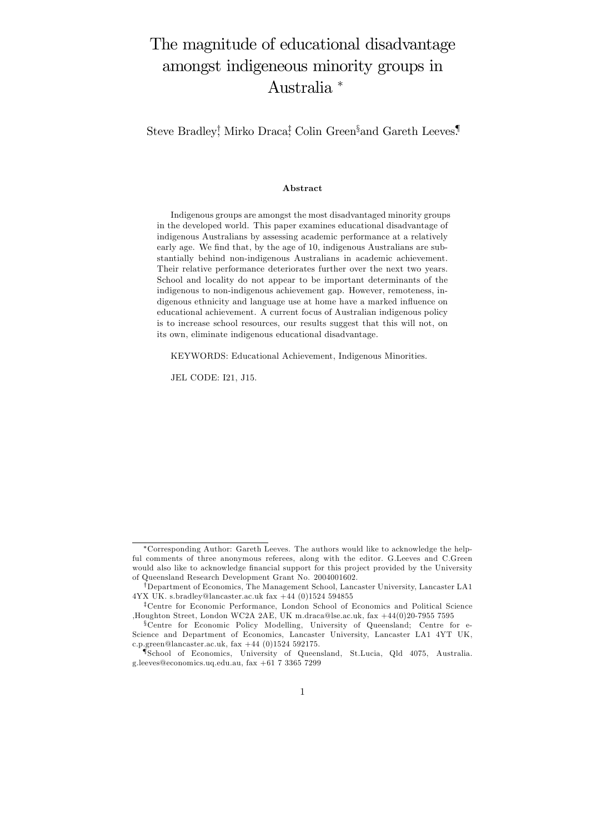# The magnitude of educational disadvantage amongst indigeneous minority groups in Australia

Steve Bradley<sup>†</sup>, Mirko Draca<sup>‡</sup>, Colin Green<sup>§</sup>and Gareth Leeves.

#### Abstract

Indigenous groups are amongst the most disadvantaged minority groups in the developed world. This paper examines educational disadvantage of indigenous Australians by assessing academic performance at a relatively early age. We find that, by the age of 10, indigenous Australians are substantially behind non-indigenous Australians in academic achievement. Their relative performance deteriorates further over the next two years. School and locality do not appear to be important determinants of the indigenous to non-indigenous achievement gap. However, remoteness, indigenous ethnicity and language use at home have a marked influence on educational achievement. A current focus of Australian indigenous policy is to increase school resources, our results suggest that this will not, on its own, eliminate indigenous educational disadvantage.

KEYWORDS: Educational Achievement, Indigenous Minorities.

JEL CODE: I21, J15.

Corresponding Author: Gareth Leeves. The authors would like to acknowledge the helpful comments of three anonymous referees, along with the editor. G.Leeves and C.Green would also like to acknowledge financial support for this project provided by the University of Queensland Research Development Grant No. 2004001602.

<sup>&</sup>lt;sup>†</sup>Department of Economics, The Management School, Lancaster University, Lancaster LA1 4YX UK. s.bradley@lancaster.ac.uk fax +44 (0)1524 594855

<sup>&</sup>lt;sup>‡</sup>Centre for Economic Performance, London School of Economics and Political Science ,Houghton Street, London WC2A 2AE, UK m.draca@lse.ac.uk, fax +44(0)20-7955 7595

<sup>&</sup>lt;sup>§</sup>Centre for Economic Policy Modelling, University of Queensland; Centre for e-Science and Department of Economics, Lancaster University, Lancaster LA1 4YT UK, c.p.green@lancaster.ac.uk, fax +44 (0)1524 592175.

<sup>{</sup>School of Economics, University of Queensland, St.Lucia, Qld 4075, Australia. g.leeves@economics.uq.edu.au, fax +61 7 3365 7299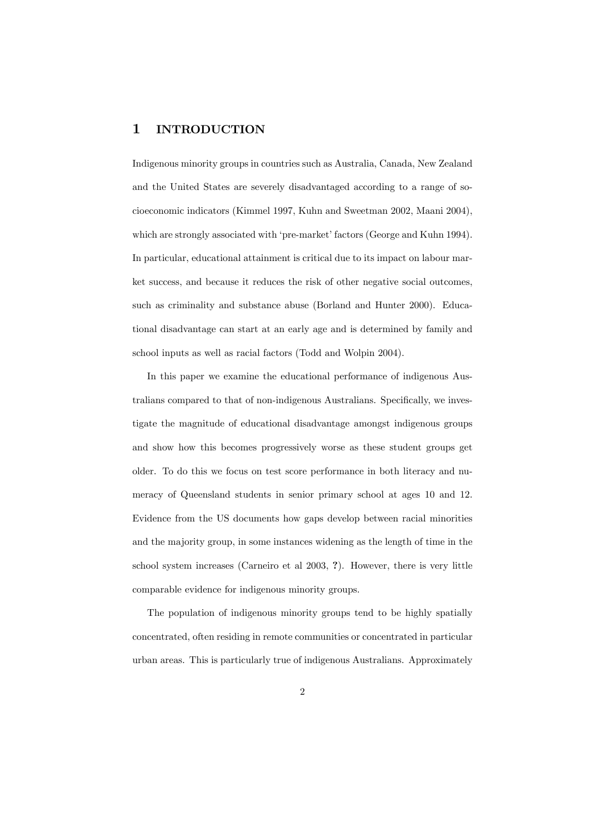## 1 INTRODUCTION

Indigenous minority groups in countries such as Australia, Canada, New Zealand and the United States are severely disadvantaged according to a range of socioeconomic indicators (Kimmel 1997, Kuhn and Sweetman 2002, Maani 2004), which are strongly associated with 'pre-market' factors (George and Kuhn 1994). In particular, educational attainment is critical due to its impact on labour market success, and because it reduces the risk of other negative social outcomes, such as criminality and substance abuse (Borland and Hunter 2000). Educational disadvantage can start at an early age and is determined by family and school inputs as well as racial factors (Todd and Wolpin 2004).

In this paper we examine the educational performance of indigenous Australians compared to that of non-indigenous Australians. Specifically, we investigate the magnitude of educational disadvantage amongst indigenous groups and show how this becomes progressively worse as these student groups get older. To do this we focus on test score performance in both literacy and numeracy of Queensland students in senior primary school at ages 10 and 12. Evidence from the US documents how gaps develop between racial minorities and the majority group, in some instances widening as the length of time in the school system increases (Carneiro et al 2003, ?). However, there is very little comparable evidence for indigenous minority groups.

The population of indigenous minority groups tend to be highly spatially concentrated, often residing in remote communities or concentrated in particular urban areas. This is particularly true of indigenous Australians. Approximately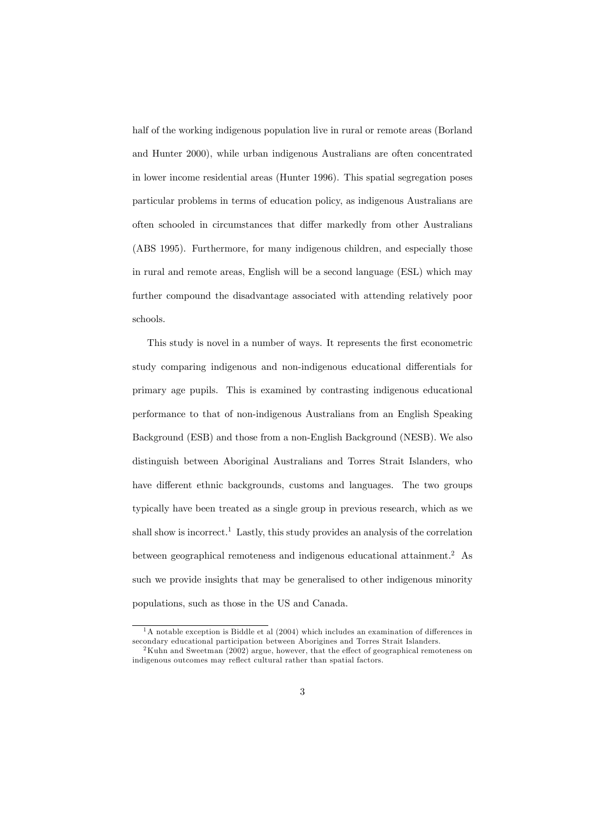half of the working indigenous population live in rural or remote areas (Borland and Hunter 2000), while urban indigenous Australians are often concentrated in lower income residential areas (Hunter 1996). This spatial segregation poses particular problems in terms of education policy, as indigenous Australians are often schooled in circumstances that differ markedly from other Australians (ABS 1995). Furthermore, for many indigenous children, and especially those in rural and remote areas, English will be a second language (ESL) which may further compound the disadvantage associated with attending relatively poor schools.

This study is novel in a number of ways. It represents the first econometric study comparing indigenous and non-indigenous educational differentials for primary age pupils. This is examined by contrasting indigenous educational performance to that of non-indigenous Australians from an English Speaking Background (ESB) and those from a non-English Background (NESB). We also distinguish between Aboriginal Australians and Torres Strait Islanders, who have different ethnic backgrounds, customs and languages. The two groups typically have been treated as a single group in previous research, which as we shall show is incorrect.<sup>1</sup> Lastly, this study provides an analysis of the correlation between geographical remoteness and indigenous educational attainment.<sup>2</sup> As such we provide insights that may be generalised to other indigenous minority populations, such as those in the US and Canada.

 $1A$  notable exception is Biddle et al (2004) which includes an examination of differences in secondary educational participation between Aborigines and Torres Strait Islanders.

 $2$ Kuhn and Sweetman (2002) argue, however, that the effect of geographical remoteness on indigenous outcomes may reflect cultural rather than spatial factors.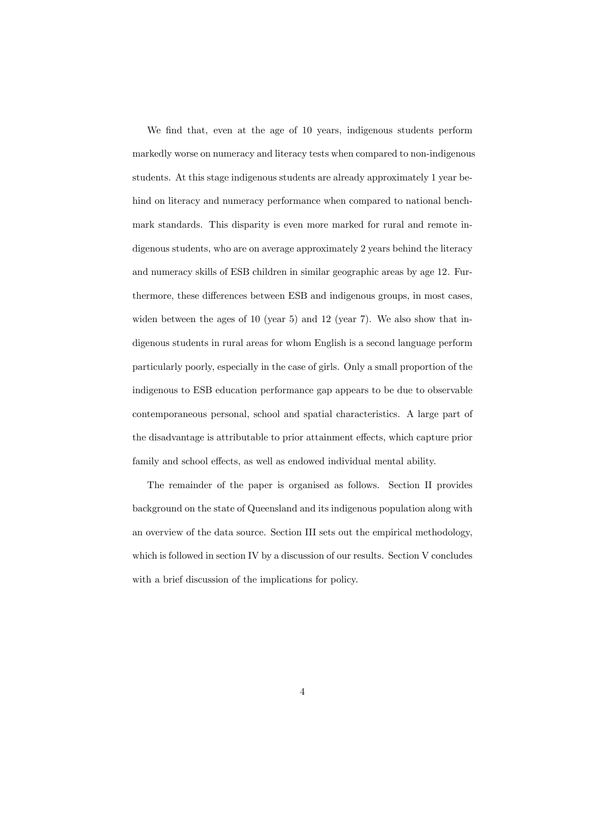We find that, even at the age of 10 years, indigenous students perform markedly worse on numeracy and literacy tests when compared to non-indigenous students. At this stage indigenous students are already approximately 1 year behind on literacy and numeracy performance when compared to national benchmark standards. This disparity is even more marked for rural and remote indigenous students, who are on average approximately 2 years behind the literacy and numeracy skills of ESB children in similar geographic areas by age 12. Furthermore, these differences between ESB and indigenous groups, in most cases, widen between the ages of 10 (year 5) and 12 (year 7). We also show that indigenous students in rural areas for whom English is a second language perform particularly poorly, especially in the case of girls. Only a small proportion of the indigenous to ESB education performance gap appears to be due to observable contemporaneous personal, school and spatial characteristics. A large part of the disadvantage is attributable to prior attainment effects, which capture prior family and school effects, as well as endowed individual mental ability.

The remainder of the paper is organised as follows. Section II provides background on the state of Queensland and its indigenous population along with an overview of the data source. Section III sets out the empirical methodology, which is followed in section IV by a discussion of our results. Section V concludes with a brief discussion of the implications for policy.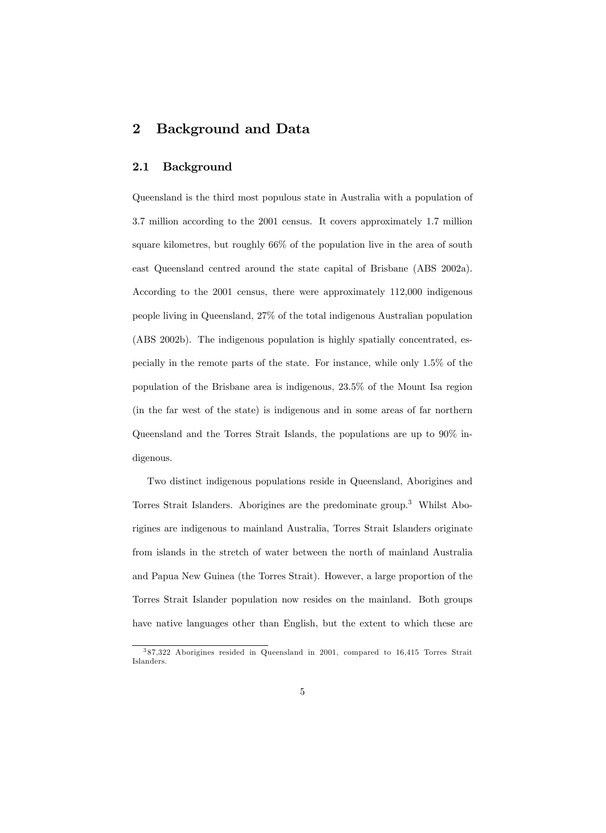# 2 Background and Data

## 2.1 Background

Queensland is the third most populous state in Australia with a population of 3.7 million according to the 2001 census. It covers approximately 1.7 million square kilometres, but roughly 66% of the population live in the area of south east Queensland centred around the state capital of Brisbane (ABS 2002a). According to the 2001 census, there were approximately 112,000 indigenous people living in Queensland, 27% of the total indigenous Australian population (ABS 2002b). The indigenous population is highly spatially concentrated, especially in the remote parts of the state. For instance, while only 1.5% of the population of the Brisbane area is indigenous, 23.5% of the Mount Isa region (in the far west of the state) is indigenous and in some areas of far northern Queensland and the Torres Strait Islands, the populations are up to 90% indigenous.

Two distinct indigenous populations reside in Queensland, Aborigines and Torres Strait Islanders. Aborigines are the predominate group.<sup>3</sup> Whilst Aborigines are indigenous to mainland Australia, Torres Strait Islanders originate from islands in the stretch of water between the north of mainland Australia and Papua New Guinea (the Torres Strait). However, a large proportion of the Torres Strait Islander population now resides on the mainland. Both groups have native languages other than English, but the extent to which these are

<sup>3</sup> 87,322 Aborigines resided in Queensland in 2001, compared to 16,415 Torres Strait Islanders.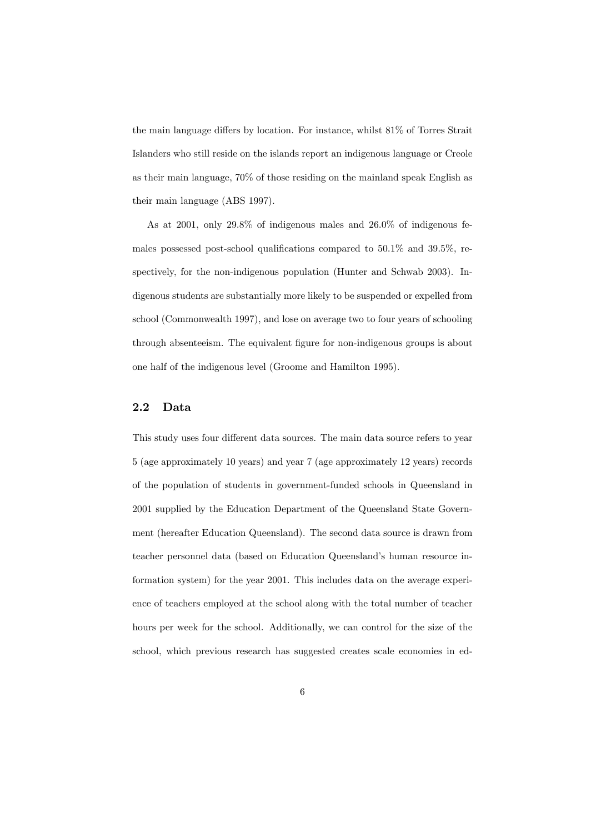the main language differs by location. For instance, whilst  $81\%$  of Torres Strait Islanders who still reside on the islands report an indigenous language or Creole as their main language, 70% of those residing on the mainland speak English as their main language (ABS 1997).

As at 2001, only 29.8% of indigenous males and 26.0% of indigenous females possessed post-school qualifications compared to  $50.1\%$  and  $39.5\%$ , respectively, for the non-indigenous population (Hunter and Schwab 2003). Indigenous students are substantially more likely to be suspended or expelled from school (Commonwealth 1997), and lose on average two to four years of schooling through absenteeism. The equivalent figure for non-indigenous groups is about one half of the indigenous level (Groome and Hamilton 1995).

## 2.2 Data

This study uses four different data sources. The main data source refers to year 5 (age approximately 10 years) and year 7 (age approximately 12 years) records of the population of students in government-funded schools in Queensland in 2001 supplied by the Education Department of the Queensland State Government (hereafter Education Queensland). The second data source is drawn from teacher personnel data (based on Education Queensland's human resource information system) for the year 2001. This includes data on the average experience of teachers employed at the school along with the total number of teacher hours per week for the school. Additionally, we can control for the size of the school, which previous research has suggested creates scale economies in ed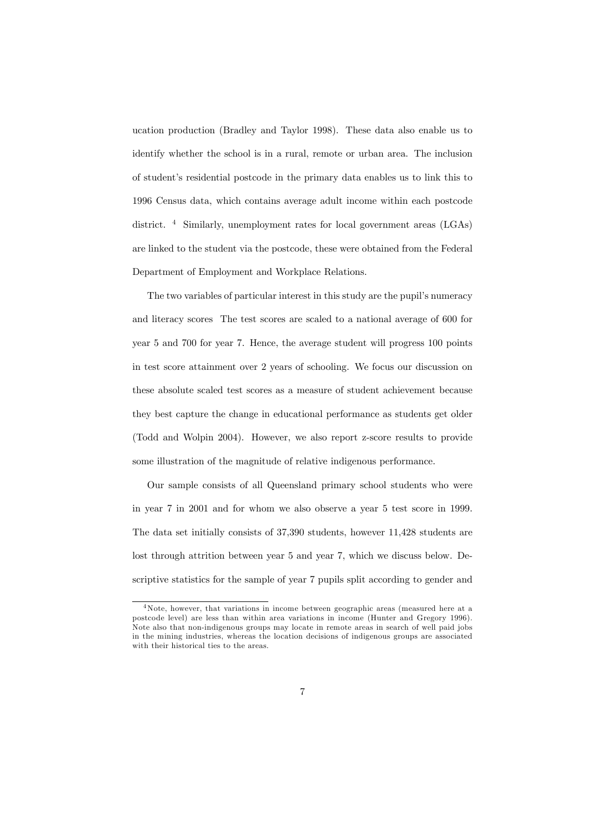ucation production (Bradley and Taylor 1998). These data also enable us to identify whether the school is in a rural, remote or urban area. The inclusion of studentís residential postcode in the primary data enables us to link this to 1996 Census data, which contains average adult income within each postcode district. <sup>4</sup> Similarly, unemployment rates for local government areas (LGAs) are linked to the student via the postcode, these were obtained from the Federal Department of Employment and Workplace Relations.

The two variables of particular interest in this study are the pupil's numeracy and literacy scores The test scores are scaled to a national average of 600 for year 5 and 700 for year 7. Hence, the average student will progress 100 points in test score attainment over 2 years of schooling. We focus our discussion on these absolute scaled test scores as a measure of student achievement because they best capture the change in educational performance as students get older (Todd and Wolpin 2004). However, we also report z-score results to provide some illustration of the magnitude of relative indigenous performance.

Our sample consists of all Queensland primary school students who were in year 7 in 2001 and for whom we also observe a year 5 test score in 1999. The data set initially consists of 37,390 students, however 11,428 students are lost through attrition between year 5 and year 7, which we discuss below. Descriptive statistics for the sample of year 7 pupils split according to gender and

<sup>&</sup>lt;sup>4</sup>Note, however, that variations in income between geographic areas (measured here at a postcode level) are less than within area variations in income (Hunter and Gregory 1996). Note also that non-indigenous groups may locate in remote areas in search of well paid jobs in the mining industries, whereas the location decisions of indigenous groups are associated with their historical ties to the areas.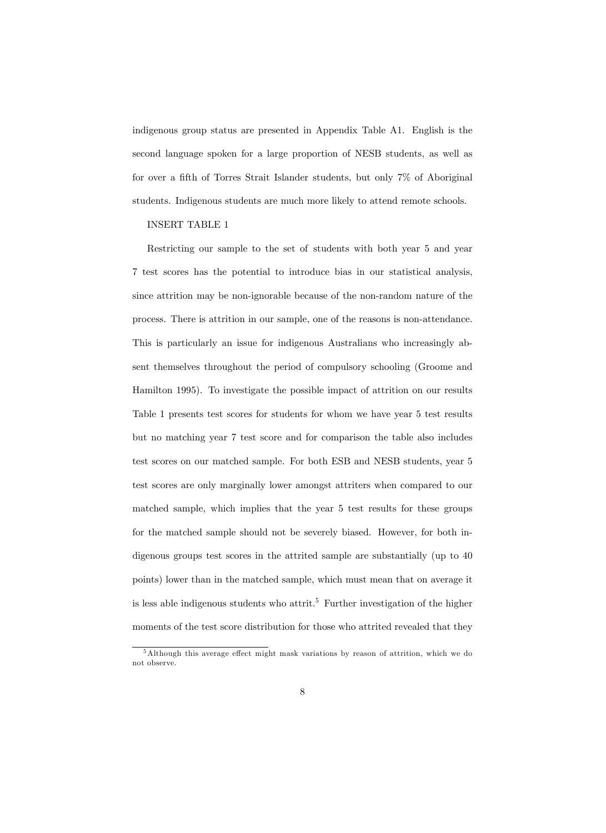indigenous group status are presented in Appendix Table A1. English is the second language spoken for a large proportion of NESB students, as well as for over a fifth of Torres Strait Islander students, but only 7% of Aboriginal students. Indigenous students are much more likely to attend remote schools.

#### INSERT TABLE 1

Restricting our sample to the set of students with both year 5 and year 7 test scores has the potential to introduce bias in our statistical analysis, since attrition may be non-ignorable because of the non-random nature of the process. There is attrition in our sample, one of the reasons is non-attendance. This is particularly an issue for indigenous Australians who increasingly absent themselves throughout the period of compulsory schooling (Groome and Hamilton 1995). To investigate the possible impact of attrition on our results Table 1 presents test scores for students for whom we have year 5 test results but no matching year 7 test score and for comparison the table also includes test scores on our matched sample. For both ESB and NESB students, year 5 test scores are only marginally lower amongst attriters when compared to our matched sample, which implies that the year 5 test results for these groups for the matched sample should not be severely biased. However, for both indigenous groups test scores in the attrited sample are substantially (up to 40 points) lower than in the matched sample, which must mean that on average it is less able indigenous students who attrit.<sup>5</sup> Further investigation of the higher moments of the test score distribution for those who attrited revealed that they

 $5$ Although this average effect might mask variations by reason of attrition, which we do not observe.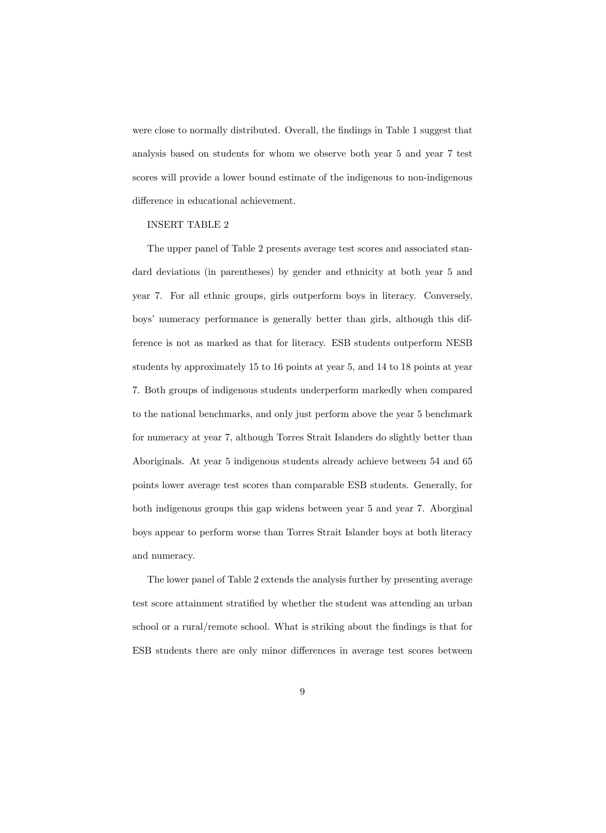were close to normally distributed. Overall, the findings in Table 1 suggest that analysis based on students for whom we observe both year 5 and year 7 test scores will provide a lower bound estimate of the indigenous to non-indigenous difference in educational achievement.

#### INSERT TABLE 2

The upper panel of Table 2 presents average test scores and associated standard deviations (in parentheses) by gender and ethnicity at both year 5 and year 7. For all ethnic groups, girls outperform boys in literacy. Conversely, boys' numeracy performance is generally better than girls, although this difference is not as marked as that for literacy. ESB students outperform NESB students by approximately 15 to 16 points at year 5, and 14 to 18 points at year 7. Both groups of indigenous students underperform markedly when compared to the national benchmarks, and only just perform above the year 5 benchmark for numeracy at year 7, although Torres Strait Islanders do slightly better than Aboriginals. At year 5 indigenous students already achieve between 54 and 65 points lower average test scores than comparable ESB students. Generally, for both indigenous groups this gap widens between year 5 and year 7. Aborginal boys appear to perform worse than Torres Strait Islander boys at both literacy and numeracy.

The lower panel of Table 2 extends the analysis further by presenting average test score attainment stratified by whether the student was attending an urban school or a rural/remote school. What is striking about the findings is that for ESB students there are only minor differences in average test scores between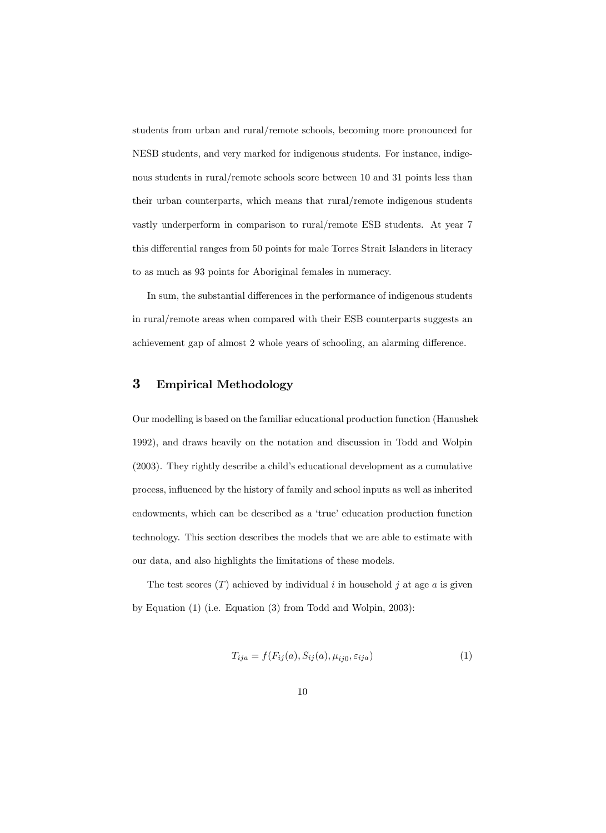students from urban and rural/remote schools, becoming more pronounced for NESB students, and very marked for indigenous students. For instance, indigenous students in rural/remote schools score between 10 and 31 points less than their urban counterparts, which means that rural/remote indigenous students vastly underperform in comparison to rural/remote ESB students. At year 7 this differential ranges from 50 points for male Torres Strait Islanders in literacy to as much as 93 points for Aboriginal females in numeracy.

In sum, the substantial differences in the performance of indigenous students in rural/remote areas when compared with their ESB counterparts suggests an achievement gap of almost 2 whole years of schooling, an alarming difference.

# 3 Empirical Methodology

Our modelling is based on the familiar educational production function (Hanushek 1992), and draws heavily on the notation and discussion in Todd and Wolpin  $(2003)$ . They rightly describe a child's educational development as a cumulative process, influenced by the history of family and school inputs as well as inherited endowments, which can be described as a 'true' education production function technology. This section describes the models that we are able to estimate with our data, and also highlights the limitations of these models.

The test scores  $(T)$  achieved by individual i in household j at age a is given by Equation (1) (i.e. Equation (3) from Todd and Wolpin, 2003):

$$
T_{ija} = f(F_{ij}(a), S_{ij}(a), \mu_{ij0}, \varepsilon_{ija})
$$
\n
$$
(1)
$$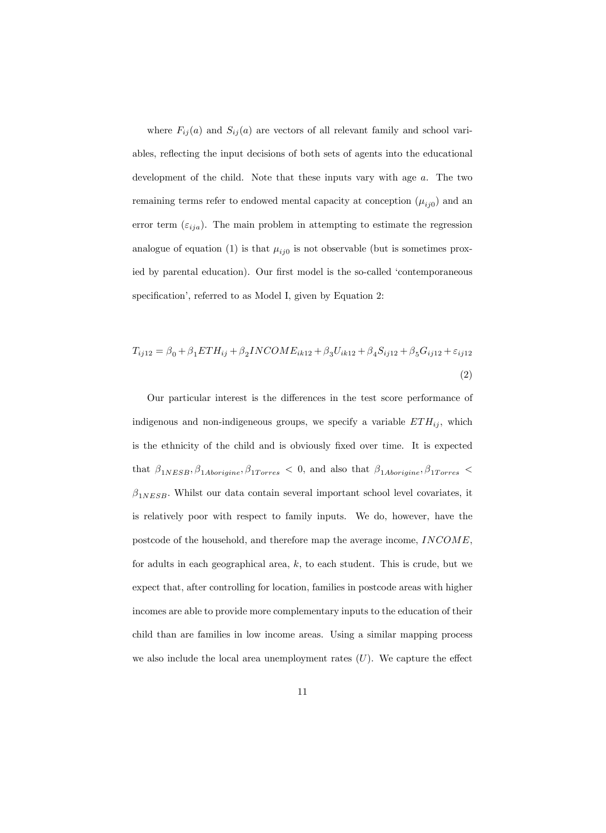where  $F_{ij}(a)$  and  $S_{ij}(a)$  are vectors of all relevant family and school variables, reflecting the input decisions of both sets of agents into the educational development of the child. Note that these inputs vary with age a. The two remaining terms refer to endowed mental capacity at conception  $(\mu_{ij0})$  and an error term  $(\varepsilon_{ija})$ . The main problem in attempting to estimate the regression analogue of equation (1) is that  $\mu_{ij0}$  is not observable (but is sometimes proxied by parental education). Our first model is the so-called 'contemporaneous specification', referred to as Model I, given by Equation 2:

$$
T_{ij12} = \beta_0 + \beta_1 ETH_{ij} + \beta_2 INCOME_{ik12} + \beta_3 U_{ik12} + \beta_4 S_{ij12} + \beta_5 G_{ij12} + \varepsilon_{ij12}
$$
\n(2)

Our particular interest is the differences in the test score performance of indigenous and non-indigeneous groups, we specify a variable  $ETH_{ij}$ , which is the ethnicity of the child and is obviously fixed over time. It is expected that  $\beta_{1NESB}, \beta_{1Aborigine}, \beta_{1Torres}$  < 0, and also that  $\beta_{1Aborigine}, \beta_{1Torres}$  <  $\beta_{1NESB}$ . Whilst our data contain several important school level covariates, it is relatively poor with respect to family inputs. We do, however, have the postcode of the household, and therefore map the average income, INCOME, for adults in each geographical area,  $k$ , to each student. This is crude, but we expect that, after controlling for location, families in postcode areas with higher incomes are able to provide more complementary inputs to the education of their child than are families in low income areas. Using a similar mapping process we also include the local area unemployment rates  $(U)$ . We capture the effect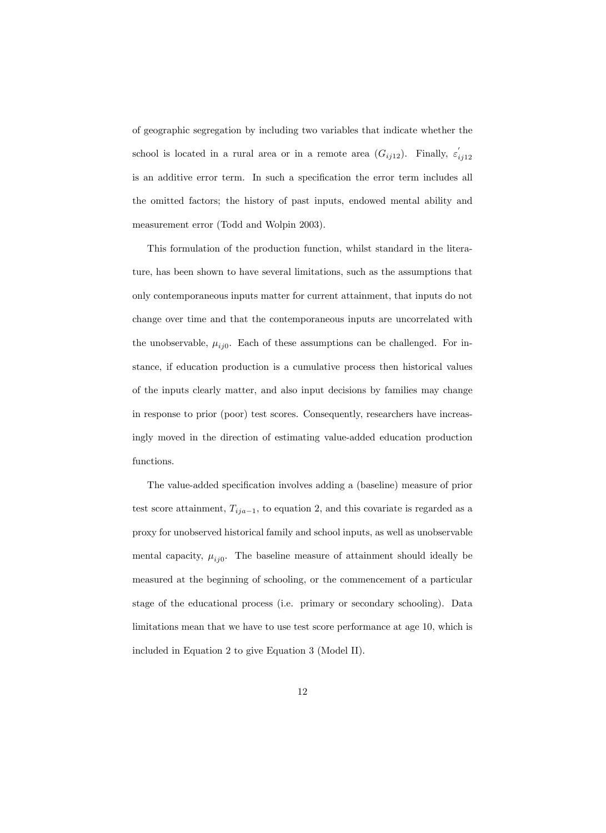of geographic segregation by including two variables that indicate whether the school is located in a rural area or in a remote area  $(G_{ij12})$ . Finally,  $\varepsilon'_{ij12}$ is an additive error term. In such a specification the error term includes all the omitted factors; the history of past inputs, endowed mental ability and measurement error (Todd and Wolpin 2003).

This formulation of the production function, whilst standard in the literature, has been shown to have several limitations, such as the assumptions that only contemporaneous inputs matter for current attainment, that inputs do not change over time and that the contemporaneous inputs are uncorrelated with the unobservable,  $\mu_{ij0}$ . Each of these assumptions can be challenged. For instance, if education production is a cumulative process then historical values of the inputs clearly matter, and also input decisions by families may change in response to prior (poor) test scores. Consequently, researchers have increasingly moved in the direction of estimating value-added education production functions.

The value-added specification involves adding a (baseline) measure of prior test score attainment,  $T_{ija-1}$ , to equation 2, and this covariate is regarded as a proxy for unobserved historical family and school inputs, as well as unobservable mental capacity,  $\mu_{ij0}$ . The baseline measure of attainment should ideally be measured at the beginning of schooling, or the commencement of a particular stage of the educational process (i.e. primary or secondary schooling). Data limitations mean that we have to use test score performance at age 10, which is included in Equation 2 to give Equation 3 (Model II).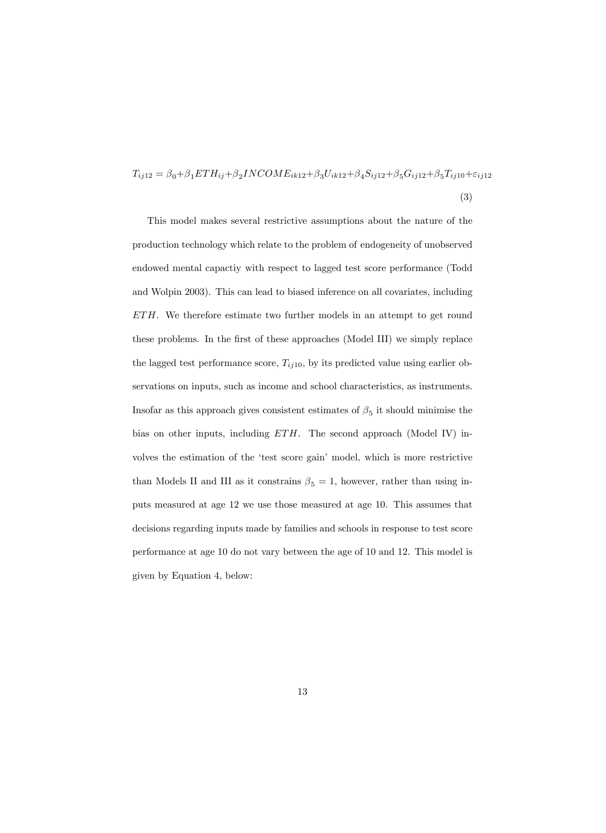$$
T_{ij12} = \beta_0 + \beta_1 ETH_{ij} + \beta_2 INCOME_{ik12} + \beta_3 U_{ik12} + \beta_4 S_{ij12} + \beta_5 G_{ij12} + \beta_5 T_{ij10} + \varepsilon_{ij12}
$$
\n(3)

This model makes several restrictive assumptions about the nature of the production technology which relate to the problem of endogeneity of unobserved endowed mental capactiy with respect to lagged test score performance (Todd and Wolpin 2003). This can lead to biased inference on all covariates, including ETH. We therefore estimate two further models in an attempt to get round these problems. In the first of these approaches (Model III) we simply replace the lagged test performance score,  $T_{ij10}$ , by its predicted value using earlier observations on inputs, such as income and school characteristics, as instruments. Insofar as this approach gives consistent estimates of  $\beta_5$  it should minimise the bias on other inputs, including  $ETH$ . The second approach (Model IV) involves the estimation of the 'test score gain' model, which is more restrictive than Models II and III as it constrains  $\beta_5 = 1$ , however, rather than using inputs measured at age 12 we use those measured at age 10. This assumes that decisions regarding inputs made by families and schools in response to test score performance at age 10 do not vary between the age of 10 and 12. This model is given by Equation 4, below: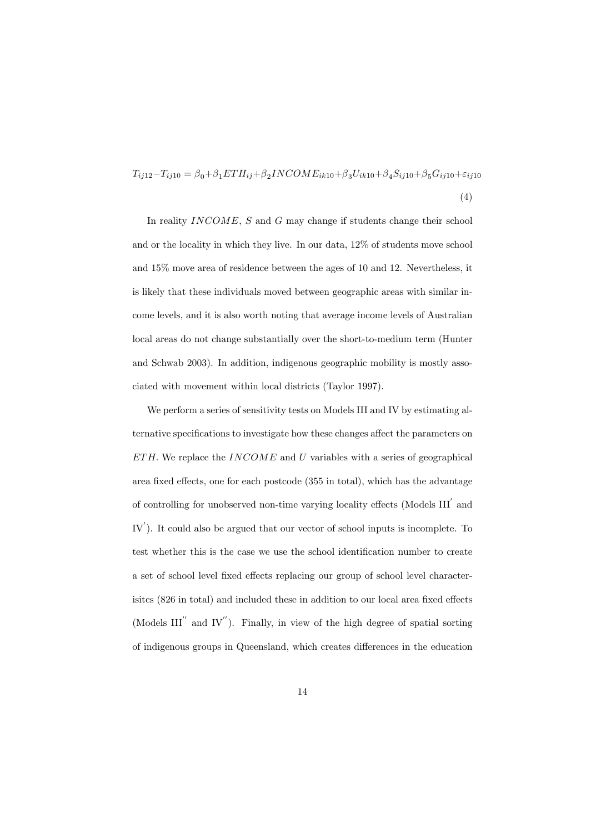$$
T_{ij12} - T_{ij10} = \beta_0 + \beta_1 ETH_{ij} + \beta_2 INCOME_{ik10} + \beta_3 U_{ik10} + \beta_4 S_{ij10} + \beta_5 G_{ij10} + \varepsilon_{ij10}
$$

(4)

In reality  $INCOME$ , S and G may change if students change their school and or the locality in which they live. In our data, 12% of students move school and 15% move area of residence between the ages of 10 and 12. Nevertheless, it is likely that these individuals moved between geographic areas with similar income levels, and it is also worth noting that average income levels of Australian local areas do not change substantially over the short-to-medium term (Hunter and Schwab 2003). In addition, indigenous geographic mobility is mostly associated with movement within local districts (Taylor 1997).

We perform a series of sensitivity tests on Models III and IV by estimating alternative specifications to investigate how these changes affect the parameters on  $ETH$ . We replace the INCOME and U variables with a series of geographical area fixed effects, one for each postcode (355 in total), which has the advantage of controlling for unobserved non-time varying locality effects (Models III<sup>'</sup> and  $\mathbf{IV}'$ ). It could also be argued that our vector of school inputs is incomplete. To test whether this is the case we use the school identification number to create a set of school level fixed effects replacing our group of school level characterisitcs (826 in total) and included these in addition to our local area fixed effects (Models  $III''$  and  $IV''$ ). Finally, in view of the high degree of spatial sorting of indigenous groups in Queensland, which creates differences in the education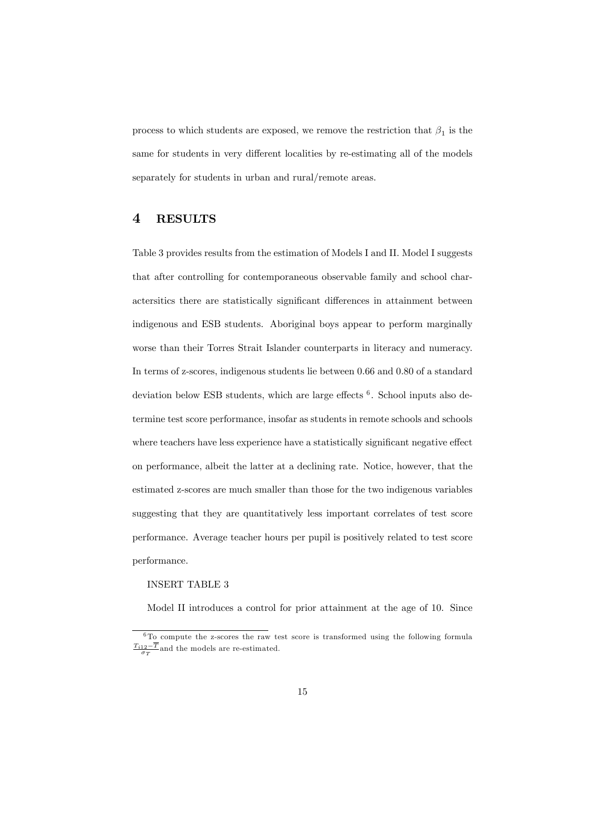process to which students are exposed, we remove the restriction that  $\beta_1$  is the same for students in very different localities by re-estimating all of the models separately for students in urban and rural/remote areas.

## 4 RESULTS

Table 3 provides results from the estimation of Models I and II. Model I suggests that after controlling for contemporaneous observable family and school charactersitics there are statistically significant differences in attainment between indigenous and ESB students. Aboriginal boys appear to perform marginally worse than their Torres Strait Islander counterparts in literacy and numeracy. In terms of z-scores, indigenous students lie between 0.66 and 0.80 of a standard deviation below ESB students, which are large effects  $6$ . School inputs also determine test score performance, insofar as students in remote schools and schools where teachers have less experience have a statistically significant negative effect on performance, albeit the latter at a declining rate. Notice, however, that the estimated z-scores are much smaller than those for the two indigenous variables suggesting that they are quantitatively less important correlates of test score performance. Average teacher hours per pupil is positively related to test score performance.

## INSERT TABLE 3

Model II introduces a control for prior attainment at the age of 10. Since

 $6$ To compute the z-scores the raw test score is transformed using the following formula  $\frac{T_{i12}-T}{\sigma_T}$  and the models are re-estimated.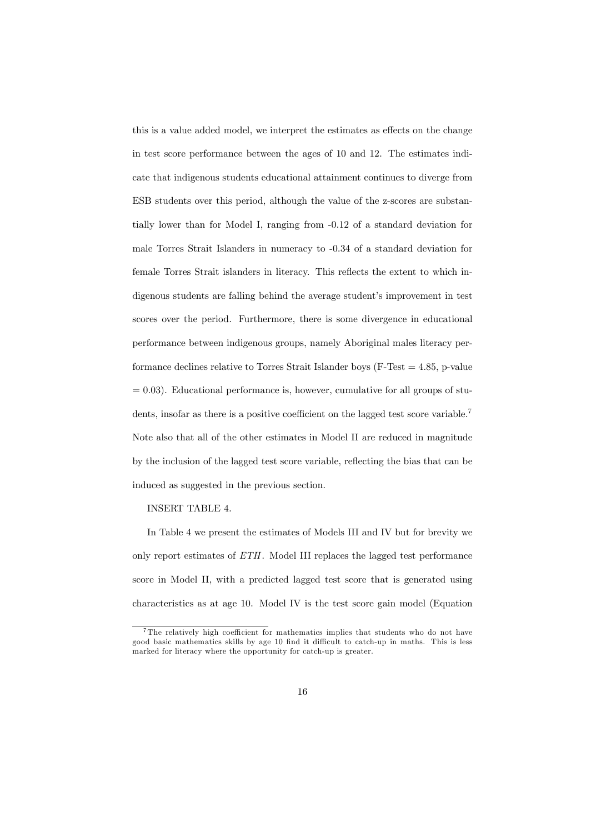this is a value added model, we interpret the estimates as effects on the change in test score performance between the ages of 10 and 12. The estimates indicate that indigenous students educational attainment continues to diverge from ESB students over this period, although the value of the z-scores are substantially lower than for Model I, ranging from -0.12 of a standard deviation for male Torres Strait Islanders in numeracy to -0.34 of a standard deviation for female Torres Strait islanders in literacy. This reflects the extent to which indigenous students are falling behind the average student's improvement in test scores over the period. Furthermore, there is some divergence in educational performance between indigenous groups, namely Aboriginal males literacy performance declines relative to Torres Strait Islander boys  $(F-Test = 4.85, p-value$  $= 0.03$ ). Educational performance is, however, cumulative for all groups of students, insofar as there is a positive coefficient on the lagged test score variable.<sup>7</sup> Note also that all of the other estimates in Model II are reduced in magnitude by the inclusion of the lagged test score variable, reflecting the bias that can be induced as suggested in the previous section.

#### INSERT TABLE 4.

In Table 4 we present the estimates of Models III and IV but for brevity we only report estimates of ETH . Model III replaces the lagged test performance score in Model II, with a predicted lagged test score that is generated using characteristics as at age 10. Model IV is the test score gain model (Equation

 $7$ The relatively high coefficient for mathematics implies that students who do not have good basic mathematics skills by age 10 find it difficult to catch-up in maths. This is less marked for literacy where the opportunity for catch-up is greater.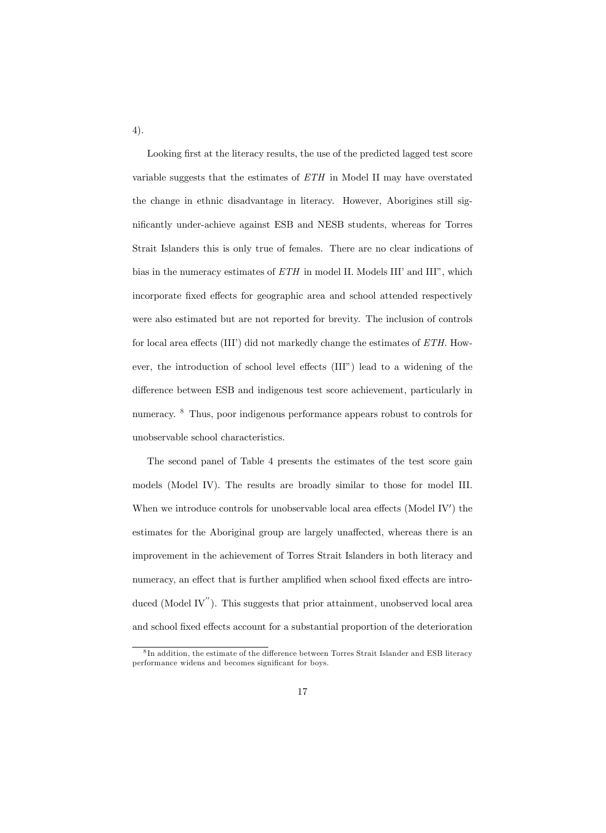Looking first at the literacy results, the use of the predicted lagged test score variable suggests that the estimates of ETH in Model II may have overstated the change in ethnic disadvantage in literacy. However, Aborigines still significantly under-achieve against ESB and NESB students, whereas for Torres Strait Islanders this is only true of females. There are no clear indications of bias in the numeracy estimates of  $ETH$  in model II. Models III' and III", which incorporate fixed effects for geographic area and school attended respectively were also estimated but are not reported for brevity. The inclusion of controls for local area effects (III) did not markedly change the estimates of  $ETH$ . However, the introduction of school level effects  $(III<sup>n</sup>)$  lead to a widening of the difference between ESB and indigenous test score achievement, particularly in numeracy. <sup>8</sup> Thus, poor indigenous performance appears robust to controls for unobservable school characteristics.

The second panel of Table 4 presents the estimates of the test score gain models (Model IV). The results are broadly similar to those for model III. When we introduce controls for unobservable local area effects (Model IV') the estimates for the Aboriginal group are largely unaffected, whereas there is an improvement in the achievement of Torres Strait Islanders in both literacy and numeracy, an effect that is further amplified when school fixed effects are introduced (Model IV"). This suggests that prior attainment, unobserved local area and school fixed effects account for a substantial proportion of the deterioration

4).

 ${}^{8}{\rm In}$  addition, the estimate of the difference between Torres Strait Islander and ESB literacy performance widens and becomes significant for boys.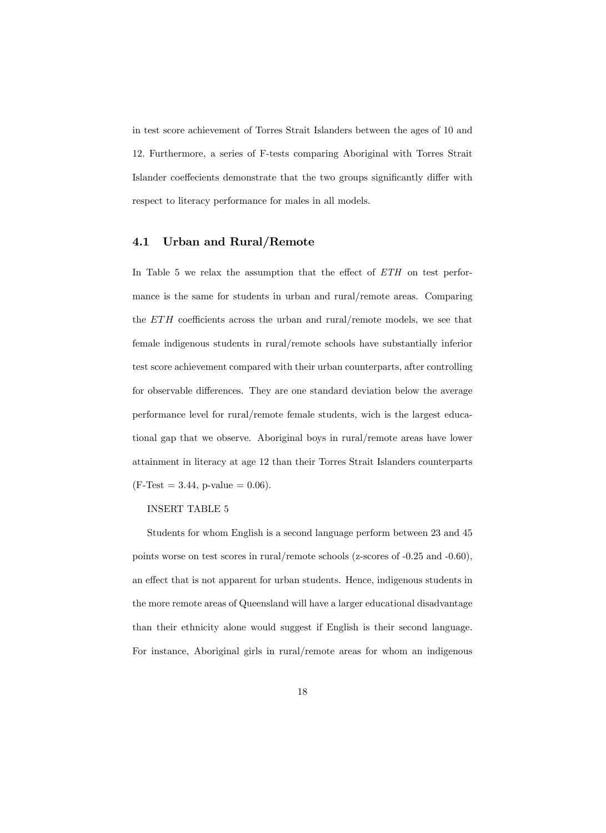in test score achievement of Torres Strait Islanders between the ages of 10 and 12. Furthermore, a series of F-tests comparing Aboriginal with Torres Strait Islander coeffecients demonstrate that the two groups significantly differ with respect to literacy performance for males in all models.

## 4.1 Urban and Rural/Remote

In Table 5 we relax the assumption that the effect of  $ETH$  on test performance is the same for students in urban and rural/remote areas. Comparing the  $ETH$  coefficients across the urban and rural/remote models, we see that female indigenous students in rural/remote schools have substantially inferior test score achievement compared with their urban counterparts, after controlling for observable differences. They are one standard deviation below the average performance level for rural/remote female students, wich is the largest educational gap that we observe. Aboriginal boys in rural/remote areas have lower attainment in literacy at age 12 than their Torres Strait Islanders counterparts  $(F-Test = 3.44, p-value = 0.06).$ 

#### INSERT TABLE 5

Students for whom English is a second language perform between 23 and 45 points worse on test scores in rural/remote schools (z-scores of -0.25 and -0.60), an effect that is not apparent for urban students. Hence, indigenous students in the more remote areas of Queensland will have a larger educational disadvantage than their ethnicity alone would suggest if English is their second language. For instance, Aboriginal girls in rural/remote areas for whom an indigenous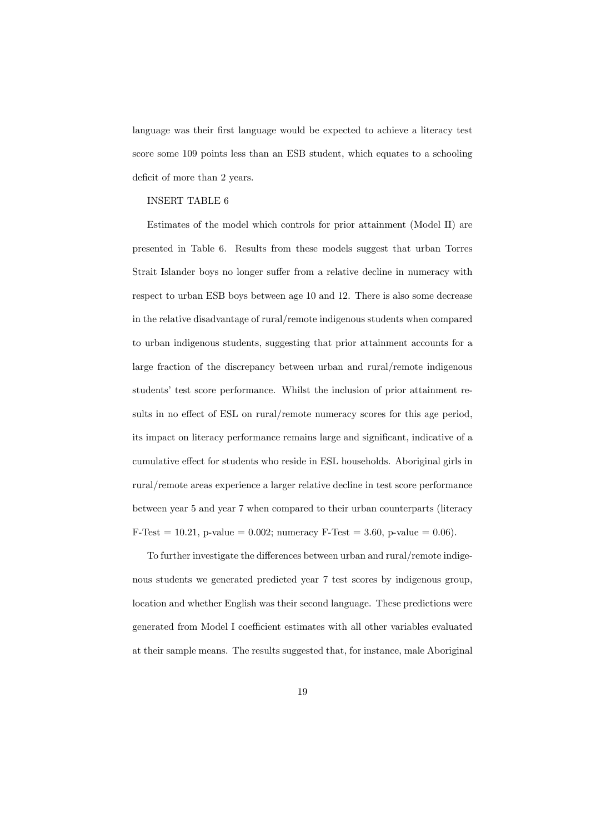language was their first language would be expected to achieve a literacy test score some 109 points less than an ESB student, which equates to a schooling deficit of more than 2 years.

### INSERT TABLE 6

Estimates of the model which controls for prior attainment (Model II) are presented in Table 6. Results from these models suggest that urban Torres Strait Islander boys no longer suffer from a relative decline in numeracy with respect to urban ESB boys between age 10 and 12. There is also some decrease in the relative disadvantage of rural/remote indigenous students when compared to urban indigenous students, suggesting that prior attainment accounts for a large fraction of the discrepancy between urban and rural/remote indigenous students' test score performance. Whilst the inclusion of prior attainment results in no effect of ESL on rural/remote numeracy scores for this age period, its impact on literacy performance remains large and significant, indicative of a cumulative effect for students who reside in ESL households. Aboriginal girls in rural/remote areas experience a larger relative decline in test score performance between year 5 and year 7 when compared to their urban counterparts (literacy F-Test = 10.21, p-value = 0.002; numeracy F-Test = 3.60, p-value = 0.06).

To further investigate the differences between urban and rural/remote indigenous students we generated predicted year 7 test scores by indigenous group, location and whether English was their second language. These predictions were generated from Model I coefficient estimates with all other variables evaluated at their sample means. The results suggested that, for instance, male Aboriginal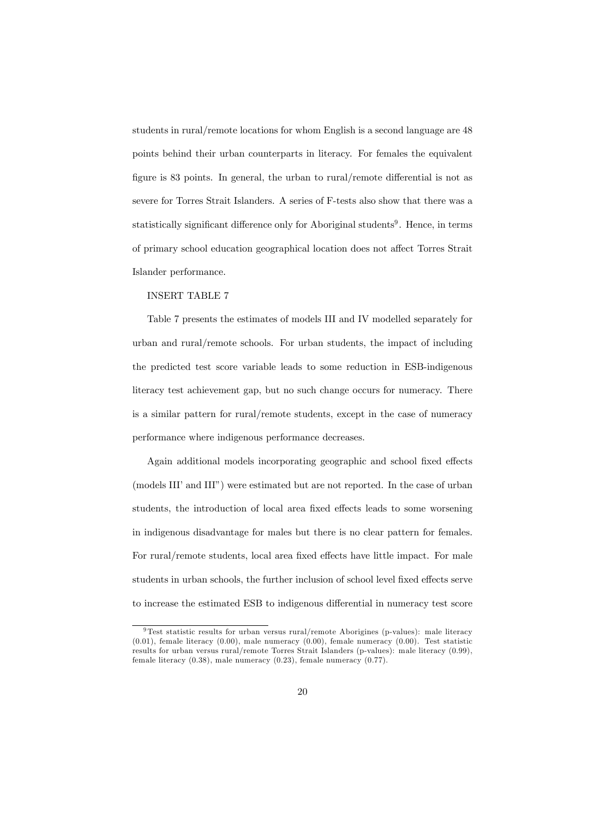students in rural/remote locations for whom English is a second language are 48 points behind their urban counterparts in literacy. For females the equivalent figure is 83 points. In general, the urban to rural/remote differential is not as severe for Torres Strait Islanders. A series of F-tests also show that there was a statistically significant difference only for Aboriginal students<sup>9</sup>. Hence, in terms of primary school education geographical location does not affect Torres Strait Islander performance.

#### INSERT TABLE 7

Table 7 presents the estimates of models III and IV modelled separately for urban and rural/remote schools. For urban students, the impact of including the predicted test score variable leads to some reduction in ESB-indigenous literacy test achievement gap, but no such change occurs for numeracy. There is a similar pattern for rural/remote students, except in the case of numeracy performance where indigenous performance decreases.

Again additional models incorporating geographic and school fixed effects  $($ models III<sup> $\cdot$ </sup> and III<sup> $\cdot$ </sup>) were estimated but are not reported. In the case of urban students, the introduction of local area fixed effects leads to some worsening in indigenous disadvantage for males but there is no clear pattern for females. For rural/remote students, local area fixed effects have little impact. For male students in urban schools, the further inclusion of school level fixed effects serve to increase the estimated ESB to indigenous differential in numeracy test score

<sup>9</sup> Test statistic results for urban versus rural/remote Aborigines (p-values): male literacy  $(0.01)$ , female literacy  $(0.00)$ , male numeracy  $(0.00)$ , female numeracy  $(0.00)$ . Test statistic results for urban versus rural/remote Torres Strait Islanders (p-values): male literacy (0.99), female literacy (0.38), male numeracy (0.23), female numeracy (0.77).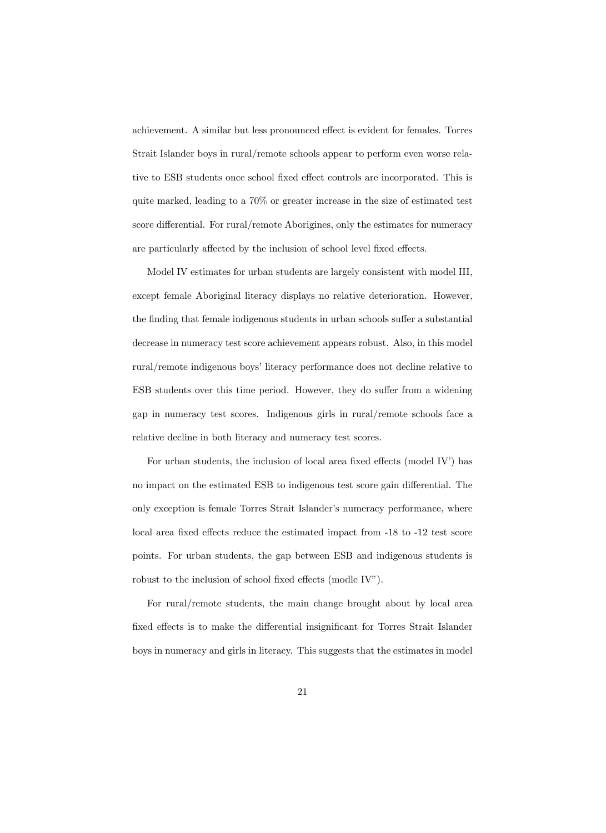achievement. A similar but less pronounced effect is evident for females. Torres Strait Islander boys in rural/remote schools appear to perform even worse relative to ESB students once school fixed effect controls are incorporated. This is quite marked, leading to a 70% or greater increase in the size of estimated test score differential. For rural/remote Aborigines, only the estimates for numeracy are particularly affected by the inclusion of school level fixed effects.

Model IV estimates for urban students are largely consistent with model III, except female Aboriginal literacy displays no relative deterioration. However, the finding that female indigenous students in urban schools suffer a substantial decrease in numeracy test score achievement appears robust. Also, in this model rural/remote indigenous boys' literacy performance does not decline relative to ESB students over this time period. However, they do suffer from a widening gap in numeracy test scores. Indigenous girls in rural/remote schools face a relative decline in both literacy and numeracy test scores.

For urban students, the inclusion of local area fixed effects (model IV $\prime$ ) has no impact on the estimated ESB to indigenous test score gain differential. The only exception is female Torres Strait Islander's numeracy performance, where local area fixed effects reduce the estimated impact from -18 to -12 test score points. For urban students, the gap between ESB and indigenous students is robust to the inclusion of school fixed effects (modle IV").

For rural/remote students, the main change brought about by local area fixed effects is to make the differential insignificant for Torres Strait Islander boys in numeracy and girls in literacy. This suggests that the estimates in model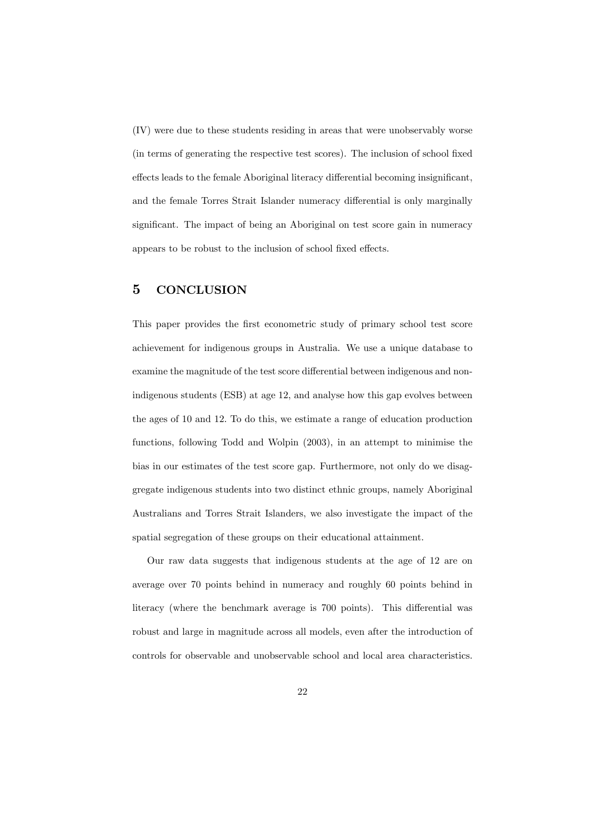(IV) were due to these students residing in areas that were unobservably worse (in terms of generating the respective test scores). The inclusion of school fixed effects leads to the female Aboriginal literacy differential becoming insignificant, and the female Torres Strait Islander numeracy differential is only marginally significant. The impact of being an Aboriginal on test score gain in numeracy appears to be robust to the inclusion of school fixed effects.

# 5 CONCLUSION

This paper provides the first econometric study of primary school test score achievement for indigenous groups in Australia. We use a unique database to examine the magnitude of the test score differential between indigenous and nonindigenous students (ESB) at age 12, and analyse how this gap evolves between the ages of 10 and 12. To do this, we estimate a range of education production functions, following Todd and Wolpin (2003), in an attempt to minimise the bias in our estimates of the test score gap. Furthermore, not only do we disaggregate indigenous students into two distinct ethnic groups, namely Aboriginal Australians and Torres Strait Islanders, we also investigate the impact of the spatial segregation of these groups on their educational attainment.

Our raw data suggests that indigenous students at the age of 12 are on average over 70 points behind in numeracy and roughly 60 points behind in literacy (where the benchmark average is 700 points). This differential was robust and large in magnitude across all models, even after the introduction of controls for observable and unobservable school and local area characteristics.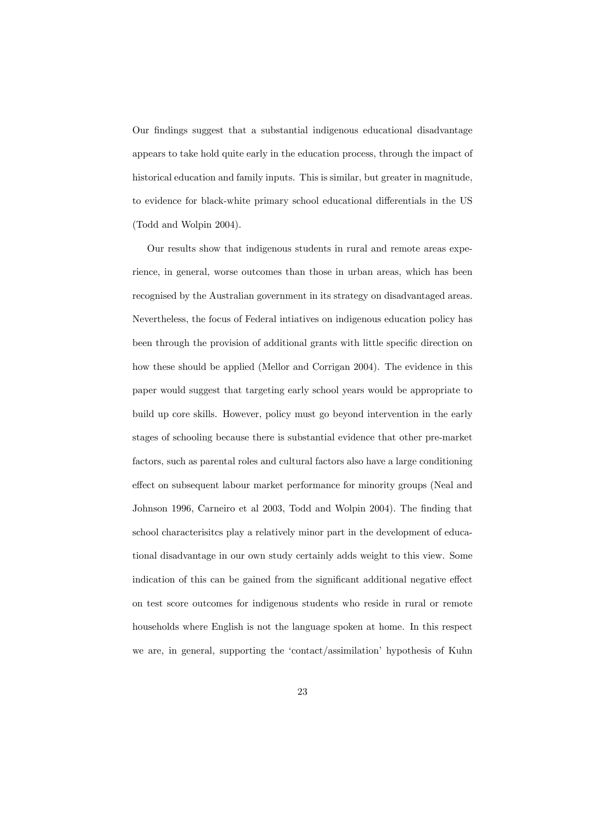Our Öndings suggest that a substantial indigenous educational disadvantage appears to take hold quite early in the education process, through the impact of historical education and family inputs. This is similar, but greater in magnitude, to evidence for black-white primary school educational differentials in the US (Todd and Wolpin 2004).

Our results show that indigenous students in rural and remote areas experience, in general, worse outcomes than those in urban areas, which has been recognised by the Australian government in its strategy on disadvantaged areas. Nevertheless, the focus of Federal intiatives on indigenous education policy has been through the provision of additional grants with little specific direction on how these should be applied (Mellor and Corrigan 2004). The evidence in this paper would suggest that targeting early school years would be appropriate to build up core skills. However, policy must go beyond intervention in the early stages of schooling because there is substantial evidence that other pre-market factors, such as parental roles and cultural factors also have a large conditioning effect on subsequent labour market performance for minority groups (Neal and Johnson 1996, Carneiro et al 2003, Todd and Wolpin 2004). The finding that school characterisitcs play a relatively minor part in the development of educational disadvantage in our own study certainly adds weight to this view. Some indication of this can be gained from the significant additional negative effect on test score outcomes for indigenous students who reside in rural or remote households where English is not the language spoken at home. In this respect we are, in general, supporting the 'contact/assimilation' hypothesis of Kuhn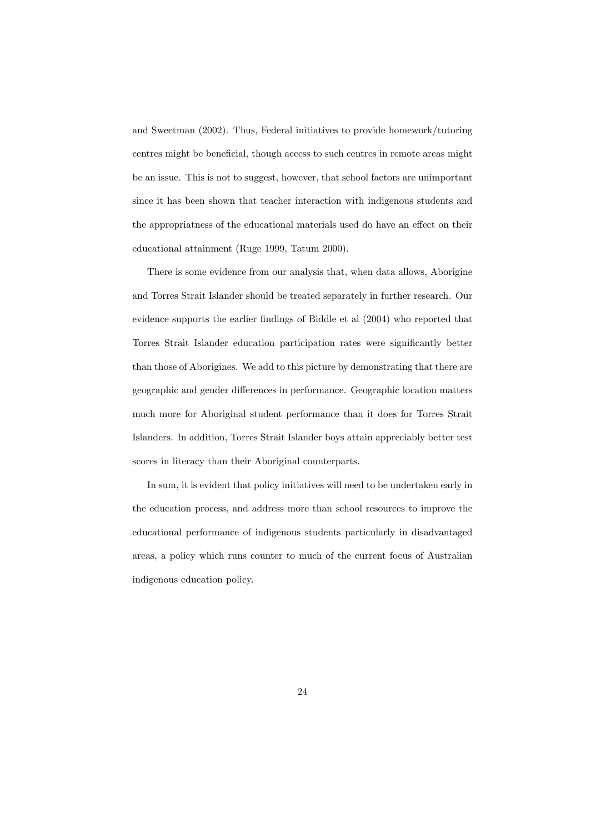and Sweetman (2002). Thus, Federal initiatives to provide homework/tutoring centres might be beneficial, though access to such centres in remote areas might be an issue. This is not to suggest, however, that school factors are unimportant since it has been shown that teacher interaction with indigenous students and the appropriatness of the educational materials used do have an effect on their educational attainment (Ruge 1999, Tatum 2000).

There is some evidence from our analysis that, when data allows, Aborigine and Torres Strait Islander should be treated separately in further research. Our evidence supports the earlier findings of Biddle et al (2004) who reported that Torres Strait Islander education participation rates were significantly better than those of Aborigines. We add to this picture by demonstrating that there are geographic and gender differences in performance. Geographic location matters much more for Aboriginal student performance than it does for Torres Strait Islanders. In addition, Torres Strait Islander boys attain appreciably better test scores in literacy than their Aboriginal counterparts.

In sum, it is evident that policy initiatives will need to be undertaken early in the education process, and address more than school resources to improve the educational performance of indigenous students particularly in disadvantaged areas, a policy which runs counter to much of the current focus of Australian indigenous education policy.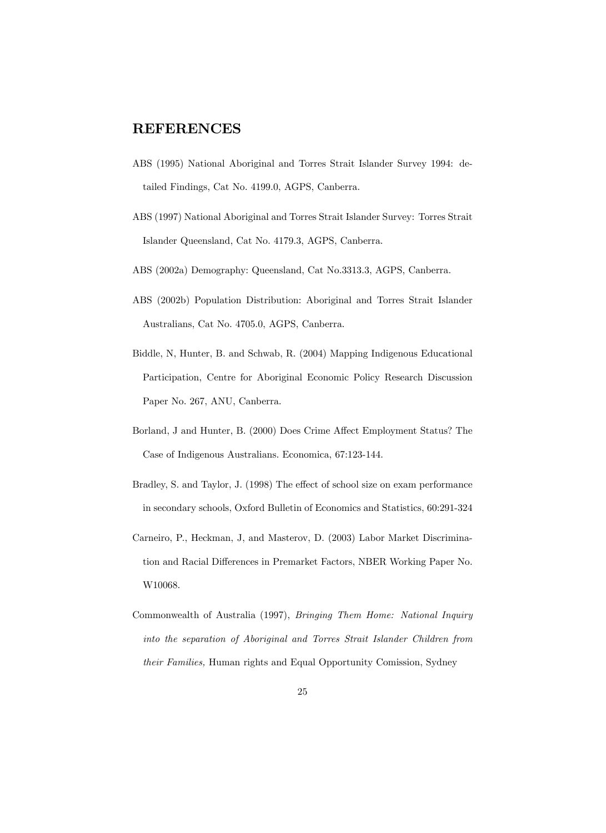# REFERENCES

- ABS (1995) National Aboriginal and Torres Strait Islander Survey 1994: detailed Findings, Cat No. 4199.0, AGPS, Canberra.
- ABS (1997) National Aboriginal and Torres Strait Islander Survey: Torres Strait Islander Queensland, Cat No. 4179.3, AGPS, Canberra.
- ABS (2002a) Demography: Queensland, Cat No.3313.3, AGPS, Canberra.
- ABS (2002b) Population Distribution: Aboriginal and Torres Strait Islander Australians, Cat No. 4705.0, AGPS, Canberra.
- Biddle, N, Hunter, B. and Schwab, R. (2004) Mapping Indigenous Educational Participation, Centre for Aboriginal Economic Policy Research Discussion Paper No. 267, ANU, Canberra.
- Borland, J and Hunter, B. (2000) Does Crime Affect Employment Status? The Case of Indigenous Australians. Economica, 67:123-144.
- Bradley, S. and Taylor, J. (1998) The effect of school size on exam performance in secondary schools, Oxford Bulletin of Economics and Statistics, 60:291-324
- Carneiro, P., Heckman, J, and Masterov, D. (2003) Labor Market Discrimination and Racial Differences in Premarket Factors, NBER Working Paper No. W10068.
- Commonwealth of Australia (1997), Bringing Them Home: National Inquiry into the separation of Aboriginal and Torres Strait Islander Children from their Families, Human rights and Equal Opportunity Comission, Sydney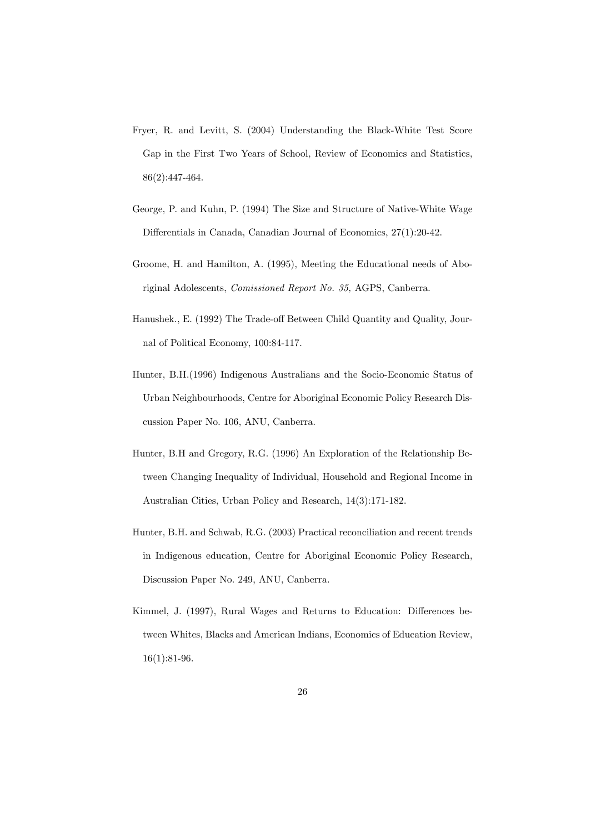- Fryer, R. and Levitt, S. (2004) Understanding the Black-White Test Score Gap in the First Two Years of School, Review of Economics and Statistics, 86(2):447-464.
- George, P. and Kuhn, P. (1994) The Size and Structure of Native-White Wage Differentials in Canada, Canadian Journal of Economics, 27(1):20-42.
- Groome, H. and Hamilton, A. (1995), Meeting the Educational needs of Aboriginal Adolescents, Comissioned Report No. 35, AGPS, Canberra.
- Hanushek., E. (1992) The Trade-off Between Child Quantity and Quality, Journal of Political Economy, 100:84-117.
- Hunter, B.H.(1996) Indigenous Australians and the Socio-Economic Status of Urban Neighbourhoods, Centre for Aboriginal Economic Policy Research Discussion Paper No. 106, ANU, Canberra.
- Hunter, B.H and Gregory, R.G. (1996) An Exploration of the Relationship Between Changing Inequality of Individual, Household and Regional Income in Australian Cities, Urban Policy and Research, 14(3):171-182.
- Hunter, B.H. and Schwab, R.G. (2003) Practical reconciliation and recent trends in Indigenous education, Centre for Aboriginal Economic Policy Research, Discussion Paper No. 249, ANU, Canberra.
- Kimmel, J. (1997), Rural Wages and Returns to Education: Differences between Whites, Blacks and American Indians, Economics of Education Review, 16(1):81-96.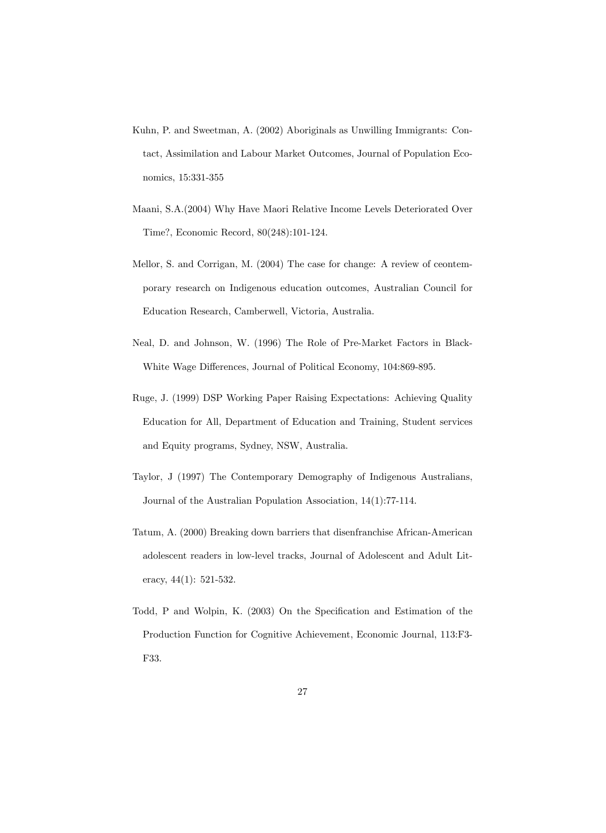- Kuhn, P. and Sweetman, A. (2002) Aboriginals as Unwilling Immigrants: Contact, Assimilation and Labour Market Outcomes, Journal of Population Economics, 15:331-355
- Maani, S.A.(2004) Why Have Maori Relative Income Levels Deteriorated Over Time?, Economic Record, 80(248):101-124.
- Mellor, S. and Corrigan, M. (2004) The case for change: A review of ceontemporary research on Indigenous education outcomes, Australian Council for Education Research, Camberwell, Victoria, Australia.
- Neal, D. and Johnson, W. (1996) The Role of Pre-Market Factors in Black-White Wage Differences, Journal of Political Economy, 104:869-895.
- Ruge, J. (1999) DSP Working Paper Raising Expectations: Achieving Quality Education for All, Department of Education and Training, Student services and Equity programs, Sydney, NSW, Australia.
- Taylor, J (1997) The Contemporary Demography of Indigenous Australians, Journal of the Australian Population Association, 14(1):77-114.
- Tatum, A. (2000) Breaking down barriers that disenfranchise African-American adolescent readers in low-level tracks, Journal of Adolescent and Adult Literacy, 44(1): 521-532.
- Todd, P and Wolpin, K. (2003) On the Specification and Estimation of the Production Function for Cognitive Achievement, Economic Journal, 113:F3- F33.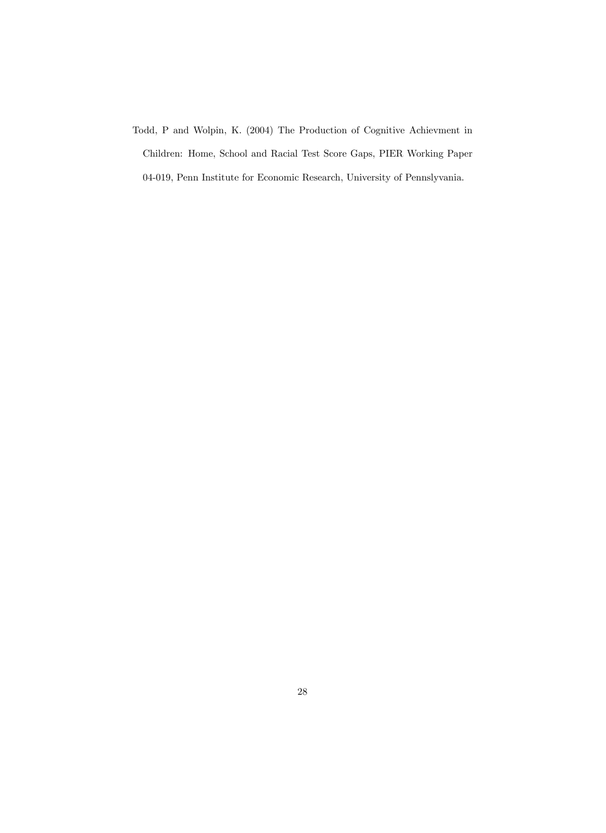Todd, P and Wolpin, K. (2004) The Production of Cognitive Achievment in Children: Home, School and Racial Test Score Gaps, PIER Working Paper 04-019, Penn Institute for Economic Research, University of Pennslyvania.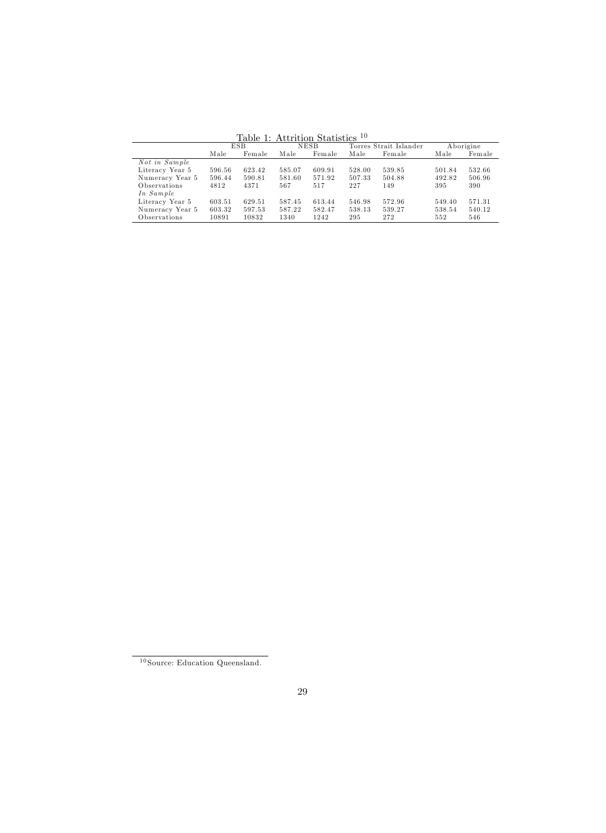|                 |        | ESB    | NESB   |        |        | Torres Strait Islander |        | Aborigine |
|-----------------|--------|--------|--------|--------|--------|------------------------|--------|-----------|
|                 | Male   | Female | Male   | Female | Male   | Female                 | Male   | Female    |
| Not in Sample   |        |        |        |        |        |                        |        |           |
| Literacy Year 5 | 596.56 | 623.42 | 585.07 | 609.91 | 528.00 | 539.85                 | 501.84 | 532.66    |
| Numeracy Year 5 | 596.44 | 590.81 | 581.60 | 571.92 | 507.33 | 504.88                 | 492.82 | 506.96    |
| Observations    | 4812   | 4371   | 567    | 517    | 227    | 149                    | 395    | 390       |
| In Sample       |        |        |        |        |        |                        |        |           |
| Literacy Year 5 | 603.51 | 629.51 | 587.45 | 613.44 | 546.98 | 572.96                 | 549.40 | 571.31    |
| Numeracy Year 5 | 603.32 | 597.53 | 587.22 | 582.47 | 538.13 | 539.27                 | 538.54 | 540.12    |
| Observations    | 10891  | 10832  | 1340   | 1242   | 295    | 272                    | 552    | 546       |

Table 1: Attrition Statistics <sup>10</sup>

 $10$  Source: Education Queensland.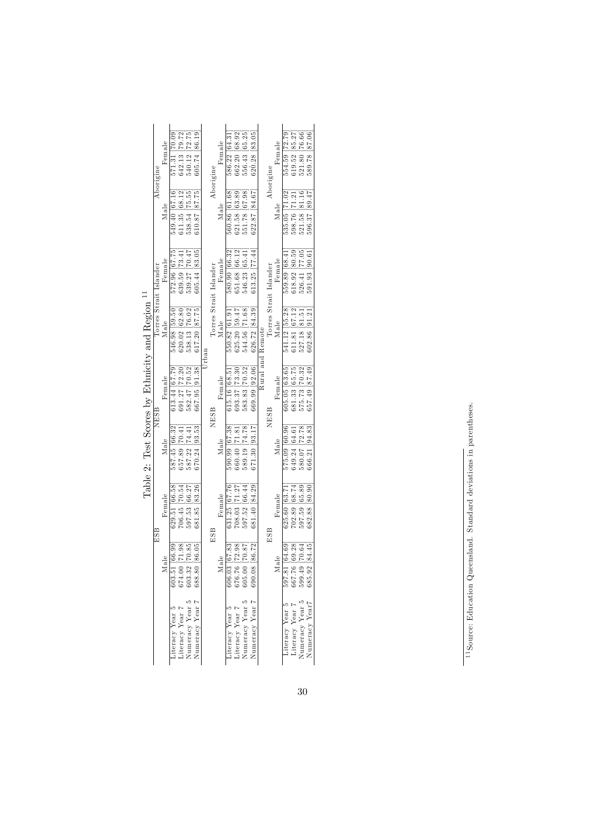|                                                            | Aborigine<br>Torres Strait Islander | $\rm Fena$<br>Male<br>$\rm Fema$ le<br>Male | 571.31 [70.09<br>549.40 67.16<br>572.96 [67.75 | 642.13 79.72<br>611.35 68.12<br>639.59 73.41 | 540.12 [72.75]<br>538.54 75.55<br>539.27 70.47 | 605.74 [86.19]<br>610.87 87.75<br>605.44 83.05 |       | Aborigine<br>Torres Strait Islander | $\rm Fena$<br>Male<br>Female<br>Male | 586.22 64.3<br>560.86 61.68<br>580.90 66.32 | 662.20 68.92<br>621.58 [63.89<br>651.68 66.12 | 556.43 [65.25]<br>551.78 67.98<br>546.23 [65.41] | 620.28 83.05<br>622.87 84.67<br>313.25 77.44 |                  | Aborigine<br>Torres Strait Islander | $\rm Feme$<br>Male<br>Female<br>Male | 554.59 72.79<br>535.05 71.02<br>559.89 68.41 | 619.52 85.27<br>598.76 71.21<br>618.92 80.59 | 521.80 76.66<br>521.58 81.16<br>526.41 77.05 | 589.78 87.06<br>596.37 89.47<br>591.93 [90.6] |
|------------------------------------------------------------|-------------------------------------|---------------------------------------------|------------------------------------------------|----------------------------------------------|------------------------------------------------|------------------------------------------------|-------|-------------------------------------|--------------------------------------|---------------------------------------------|-----------------------------------------------|--------------------------------------------------|----------------------------------------------|------------------|-------------------------------------|--------------------------------------|----------------------------------------------|----------------------------------------------|----------------------------------------------|-----------------------------------------------|
|                                                            |                                     |                                             |                                                |                                              |                                                |                                                |       |                                     |                                      |                                             |                                               |                                                  |                                              |                  |                                     |                                      |                                              |                                              |                                              |                                               |
|                                                            |                                     |                                             |                                                |                                              |                                                |                                                |       |                                     |                                      |                                             |                                               |                                                  |                                              |                  |                                     |                                      |                                              |                                              |                                              |                                               |
|                                                            |                                     |                                             | 546.98 59.50                                   | 620.02 62.80                                 | 538.13 76.02                                   | 617.20 87.75                                   | Jrban |                                     |                                      | 550.82 61.9                                 | 625.20 59.47                                  | 544.56 [71.68]                                   | 626.72 84.39                                 | Rural and Remote |                                     |                                      | 541.12 [55.28]                               | 611.81 67.12                                 | 527.18 81.51                                 | 602.86 91.21                                  |
|                                                            |                                     | Female                                      | 613.44 67.79                                   | 691.27 72.20                                 | 582.47 70.52                                   | 667.95 [91.38]                                 |       |                                     | Female                               | 615.16 68.5                                 | 693.37 73.30                                  | 583.83 70.52                                     | 669.99 92.06                                 |                  |                                     | Female                               | 605.05 63.65                                 | 681.33 65.75                                 | 575.73 70.32                                 | 657.49 87.49                                  |
| Table 2: Test Scores by Ethnicity and Region <sup>11</sup> | NES.                                | Male                                        | 587.45 66.32                                   | 657.89 70.4                                  | 587.22 [74.41                                  | 670.24 [93.53]                                 |       | NESB                                | Male                                 | 590.99 [67.38]                              | 660.40 71.81                                  | 589.19 [74.78]                                   | 671.30 [93.17]                               |                  | NESB                                | Male                                 | 575.09 [60.96]                               | 349.24 [64.61                                | 580.07 [72.78]                               | 666.21 [94.83]                                |
|                                                            |                                     | Female                                      | 629.51 66.58                                   | 706.45 70.54                                 | 597.53 [66.27]                                 | 681.85 83.26                                   |       |                                     | Female                               | 631.25 67.76                                | 708.03 71.27                                  | 597.52 [66.44]                                   | 681.40 84.29                                 |                  |                                     | Female                               | $625.60$ [63.7]                              | 702.89 [68.74]                               | 597.59 65.89                                 | 682.88 80.90                                  |
|                                                            | ESB                                 | de                                          | [66.99]<br>603.51                              | [71.98]<br>674.00                            | [70.85]<br>603.32                              | <b>86.05</b><br>688.80                         |       | ESB                                 | de                                   | 606.03 67.83                                | [72.98]<br>676.76                             | [70.87]<br>605.00                                | [86.72]<br>690.08                            |                  | ESB                                 | de                                   | 64.69<br>597.81                              | [69.28]<br>667.76                            | [70.64]<br>599.49                            | 84.45<br>685.92                               |
|                                                            |                                     |                                             | Literacy Year 5                                | Literacy Year 7                              | Numeracy Year 5                                | Numeracy Year 7                                |       |                                     |                                      | iteracy Year 5                              | Literacy Year 7                               | Numeracy Year 5                                  | Numeracy Year 7                              |                  |                                     |                                      | Literacy Year 5                              | Literacy Year 7                              | Numeracy Year 5                              | Numeracy Year7                                |

 $^{-11}\mathrm{Source}$  Education Queensland. Standard deviations in parentheses. 1 1 Source: Education Queensland. Standard deviations in parentheses.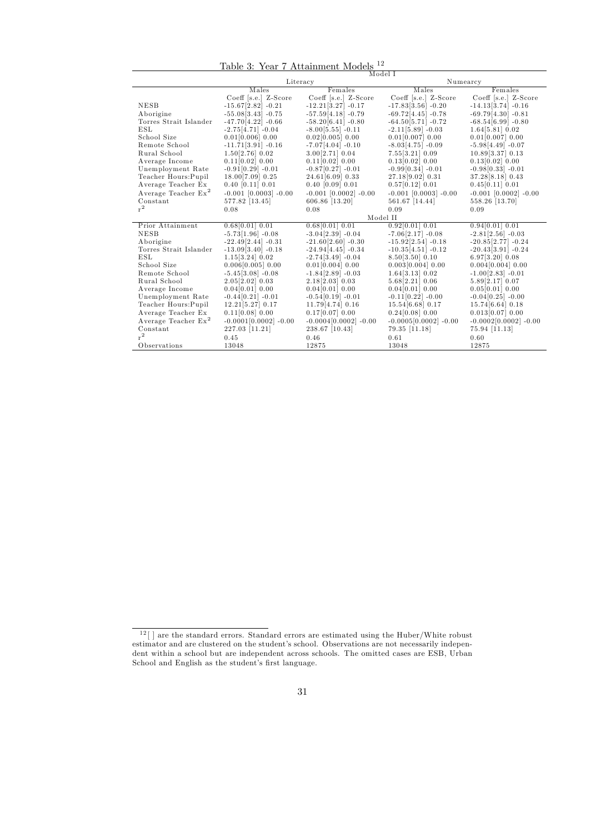|  | Table 3: Year 7 Attainment Models <sup>12</sup> |  |  |  |
|--|-------------------------------------------------|--|--|--|
|  |                                                 |  |  |  |

| Literacy<br>Numearcy<br>Males<br>Females<br>Males<br>Females<br>Coeff [s.e.] Z-Score<br>Coeff [s.e.] Z-Score<br>Coeff [s.e.] Z-Score<br>Coeff [s.e.] Z-Score<br><b>NESB</b><br>$-15.67[2.82] -0.21$<br>$-12.21[3.27] -0.17$<br>$-17.83[3.56] -0.20$<br>$-14.13[3.74] -0.16$<br>Aborigine<br>$-57.59[4.18] -0.79$<br>$-69.72[4.45] -0.78$<br>$-69.79[4.30] -0.81$<br>$-55.08[3.43] -0.75$<br>Torres Strait Islander<br>$-47.70[4.22] -0.66$<br>$-58.20[6.41] - 0.80$<br>$-64.50[5.71] -0.72$<br>$-68.54[6.99] -0.80$<br>ESL<br>$-8.00[5.55] -0.11$<br>$-2.11[5.89] -0.03$<br>$-2.75[4.71] -0.04$<br>$1.64[5.81]$ 0.02<br>School Size<br>$0.01[0.006]$ 0.00<br>$0.02[0.005]$ 0.00<br>$0.01[0.007]$ 0.00<br>$0.01[0.007]$ 0.00<br>Remote School<br>$-11.71[3.91] -0.16$<br>$-7.07[4.04] -0.10$<br>$-8.03[4.75] -0.09$<br>$-5.98[4.49] - 0.07$<br>Rural School<br>$1.50[2.76]$ 0.02<br>$3.00[2.71]$ 0.04<br>$7.55[3.21]$ 0.09<br>$10.89[3.37]$ 0.13<br>$0.11[0.02]$ $0.00$<br>$0.11[0.02]$ 0.00<br>$0.13[0.02]$ 0.00<br>$0.13[0.02]$ 0.00<br>Average Income<br>Unemployment Rate<br>$-0.91[0.29] -0.01$<br>$-0.87[0.27] -0.01$<br>$-0.99[0.34] -0.01$<br>$-0.98[0.33] -0.01$<br>27.18[9.02] 0.31<br>Teacher Hours: Pupil<br>$18.00[7.09]$ 0.25<br>24.61[6.09] 0.33<br>37.28 [8.18] 0.43<br>Average Teacher Ex<br>$0.57[0.12]$ $0.01$<br>$0.40$ [0.11] $0.01$<br>$0.40$ [0.09] $0.01$<br>$0.45[0.11]$ $0.01$<br>Average Teacher Ex <sup>2</sup><br>$-0.001$ [0.0003] $-0.00$<br>$-0.001$ [0.0003] $-0.00$<br>$-0.001$ [0.0002] $-0.00$<br>$-0.001$ [0.0002] $-0.00$<br>Constant<br>561.67 [14.44]<br>577.82 [13.45]<br>606.86 [13.20]<br>558.26 [13.70]<br>$r^2$<br>0.08<br>0.08<br>0.09<br>0.09<br>Model II<br>Prior Attainment<br>$0.68[0.01]$ $0.01$<br>$0.68[0.01]$ 0.01<br>$0.92[0.01]$ $0.01$<br>$0.94[0.01]$ $0.01$<br><b>NESB</b><br>$-5.73[1.96] -0.08$<br>$-3.04[2.39] -0.04$<br>$-7.06[2.17] -0.08$<br>$-2.81[2.56] -0.03$<br>$-22.49[2.44] -0.31$<br>$-21.60[2.60] -0.30$<br>$-15.92[2.54] -0.18$<br>$-20.85[2.77] -0.24$<br>Aborigine<br>Torres Strait Islander<br>$-13.09[3.40] -0.18$<br>$-24.94[4.45] -0.34$<br>$-10.35[4.51] -0.12$<br>$-20.43[3.91] -0.24$<br>ESL<br>$1.15[3.24]$ 0.02<br>$8.50[3.50]$ 0.10<br>$6.97[3.20]$ 0.08<br>$-2.74[3.49] -0.04$<br>School Size<br>$0.006[0.005]$ 0.00<br>$0.003[0.004]$ 0.00<br>$0.004[0.004]$ 0.00<br>$0.01[0.004]$ $0.00$<br>Remote School<br>$-5.45[3.08] -0.08$<br>$1.64[3.13]$ 0.02<br>$-1.00[2.83] -0.01$<br>$-1.84[2.89] -0.03$<br>Rural School<br>$2.05[2.02]$ 0.03<br>$2.18[2.03]$ 0.03<br>$5.68[2.21]$ 0.06<br>$5.89[2.17]$ 0.07<br>Average Income<br>$0.04[0.01]$ $0.00$<br>$0.04[0.01]$ 0.00<br>$0.04[0.01]$ 0.00<br>$0.05[0.01]$ $0.00$<br>Unemployment Rate<br>$-0.44[0.21] - 0.01$<br>$-0.54[0.19] -0.01$<br>$-0.11[0.22] - 0.00$<br>$-0.04[0.25] - 0.00$<br>Teacher Hours: Pupil<br>$12.21[5.27]$ 0.17<br>11.79 [4.74] 0.16<br>15.54 [6.68] 0.17<br>$15.74[6.64]$ 0.18<br>Average Teacher Ex<br>$0.11[0.08]$ 0.00<br>$0.17[0.07]$ 0.00<br>$0.24[0.08]$ 0.00<br>$0.013[0.07]$ 0.00<br>Average Teacher Ex <sup>2</sup><br>$-0.0001[0.0002] -0.00$<br>$-0.0004[0.0002] -0.00$<br>$-0.0005[0.0002] -0.00$<br>$-0.0002[0.0002] - 0.00$<br>Constant<br>227.03 [11.21]<br>238.67 [10.43]<br>79.35 [11.18]<br>75.94 [11.13]<br>$r^2$<br>0.45<br>0.46<br>0.61<br>0.60<br>13048<br>Observations<br>13048<br>12875<br>12875 |  | Model I |  |
|---------------------------------------------------------------------------------------------------------------------------------------------------------------------------------------------------------------------------------------------------------------------------------------------------------------------------------------------------------------------------------------------------------------------------------------------------------------------------------------------------------------------------------------------------------------------------------------------------------------------------------------------------------------------------------------------------------------------------------------------------------------------------------------------------------------------------------------------------------------------------------------------------------------------------------------------------------------------------------------------------------------------------------------------------------------------------------------------------------------------------------------------------------------------------------------------------------------------------------------------------------------------------------------------------------------------------------------------------------------------------------------------------------------------------------------------------------------------------------------------------------------------------------------------------------------------------------------------------------------------------------------------------------------------------------------------------------------------------------------------------------------------------------------------------------------------------------------------------------------------------------------------------------------------------------------------------------------------------------------------------------------------------------------------------------------------------------------------------------------------------------------------------------------------------------------------------------------------------------------------------------------------------------------------------------------------------------------------------------------------------------------------------------------------------------------------------------------------------------------------------------------------------------------------------------------------------------------------------------------------------------------------------------------------------------------------------------------------------------------------------------------------------------------------------------------------------------------------------------------------------------------------------------------------------------------------------------------------------------------------------------------------------------------------------------------------------------------------------------------------------------------------------------------------------------------------------------------------------------------------------------------------------------------------------------------------------------------------------------------------------------------|--|---------|--|
|                                                                                                                                                                                                                                                                                                                                                                                                                                                                                                                                                                                                                                                                                                                                                                                                                                                                                                                                                                                                                                                                                                                                                                                                                                                                                                                                                                                                                                                                                                                                                                                                                                                                                                                                                                                                                                                                                                                                                                                                                                                                                                                                                                                                                                                                                                                                                                                                                                                                                                                                                                                                                                                                                                                                                                                                                                                                                                                                                                                                                                                                                                                                                                                                                                                                                                                                                                                       |  |         |  |
|                                                                                                                                                                                                                                                                                                                                                                                                                                                                                                                                                                                                                                                                                                                                                                                                                                                                                                                                                                                                                                                                                                                                                                                                                                                                                                                                                                                                                                                                                                                                                                                                                                                                                                                                                                                                                                                                                                                                                                                                                                                                                                                                                                                                                                                                                                                                                                                                                                                                                                                                                                                                                                                                                                                                                                                                                                                                                                                                                                                                                                                                                                                                                                                                                                                                                                                                                                                       |  |         |  |
|                                                                                                                                                                                                                                                                                                                                                                                                                                                                                                                                                                                                                                                                                                                                                                                                                                                                                                                                                                                                                                                                                                                                                                                                                                                                                                                                                                                                                                                                                                                                                                                                                                                                                                                                                                                                                                                                                                                                                                                                                                                                                                                                                                                                                                                                                                                                                                                                                                                                                                                                                                                                                                                                                                                                                                                                                                                                                                                                                                                                                                                                                                                                                                                                                                                                                                                                                                                       |  |         |  |
|                                                                                                                                                                                                                                                                                                                                                                                                                                                                                                                                                                                                                                                                                                                                                                                                                                                                                                                                                                                                                                                                                                                                                                                                                                                                                                                                                                                                                                                                                                                                                                                                                                                                                                                                                                                                                                                                                                                                                                                                                                                                                                                                                                                                                                                                                                                                                                                                                                                                                                                                                                                                                                                                                                                                                                                                                                                                                                                                                                                                                                                                                                                                                                                                                                                                                                                                                                                       |  |         |  |
|                                                                                                                                                                                                                                                                                                                                                                                                                                                                                                                                                                                                                                                                                                                                                                                                                                                                                                                                                                                                                                                                                                                                                                                                                                                                                                                                                                                                                                                                                                                                                                                                                                                                                                                                                                                                                                                                                                                                                                                                                                                                                                                                                                                                                                                                                                                                                                                                                                                                                                                                                                                                                                                                                                                                                                                                                                                                                                                                                                                                                                                                                                                                                                                                                                                                                                                                                                                       |  |         |  |
|                                                                                                                                                                                                                                                                                                                                                                                                                                                                                                                                                                                                                                                                                                                                                                                                                                                                                                                                                                                                                                                                                                                                                                                                                                                                                                                                                                                                                                                                                                                                                                                                                                                                                                                                                                                                                                                                                                                                                                                                                                                                                                                                                                                                                                                                                                                                                                                                                                                                                                                                                                                                                                                                                                                                                                                                                                                                                                                                                                                                                                                                                                                                                                                                                                                                                                                                                                                       |  |         |  |
|                                                                                                                                                                                                                                                                                                                                                                                                                                                                                                                                                                                                                                                                                                                                                                                                                                                                                                                                                                                                                                                                                                                                                                                                                                                                                                                                                                                                                                                                                                                                                                                                                                                                                                                                                                                                                                                                                                                                                                                                                                                                                                                                                                                                                                                                                                                                                                                                                                                                                                                                                                                                                                                                                                                                                                                                                                                                                                                                                                                                                                                                                                                                                                                                                                                                                                                                                                                       |  |         |  |
|                                                                                                                                                                                                                                                                                                                                                                                                                                                                                                                                                                                                                                                                                                                                                                                                                                                                                                                                                                                                                                                                                                                                                                                                                                                                                                                                                                                                                                                                                                                                                                                                                                                                                                                                                                                                                                                                                                                                                                                                                                                                                                                                                                                                                                                                                                                                                                                                                                                                                                                                                                                                                                                                                                                                                                                                                                                                                                                                                                                                                                                                                                                                                                                                                                                                                                                                                                                       |  |         |  |
|                                                                                                                                                                                                                                                                                                                                                                                                                                                                                                                                                                                                                                                                                                                                                                                                                                                                                                                                                                                                                                                                                                                                                                                                                                                                                                                                                                                                                                                                                                                                                                                                                                                                                                                                                                                                                                                                                                                                                                                                                                                                                                                                                                                                                                                                                                                                                                                                                                                                                                                                                                                                                                                                                                                                                                                                                                                                                                                                                                                                                                                                                                                                                                                                                                                                                                                                                                                       |  |         |  |
|                                                                                                                                                                                                                                                                                                                                                                                                                                                                                                                                                                                                                                                                                                                                                                                                                                                                                                                                                                                                                                                                                                                                                                                                                                                                                                                                                                                                                                                                                                                                                                                                                                                                                                                                                                                                                                                                                                                                                                                                                                                                                                                                                                                                                                                                                                                                                                                                                                                                                                                                                                                                                                                                                                                                                                                                                                                                                                                                                                                                                                                                                                                                                                                                                                                                                                                                                                                       |  |         |  |
|                                                                                                                                                                                                                                                                                                                                                                                                                                                                                                                                                                                                                                                                                                                                                                                                                                                                                                                                                                                                                                                                                                                                                                                                                                                                                                                                                                                                                                                                                                                                                                                                                                                                                                                                                                                                                                                                                                                                                                                                                                                                                                                                                                                                                                                                                                                                                                                                                                                                                                                                                                                                                                                                                                                                                                                                                                                                                                                                                                                                                                                                                                                                                                                                                                                                                                                                                                                       |  |         |  |
|                                                                                                                                                                                                                                                                                                                                                                                                                                                                                                                                                                                                                                                                                                                                                                                                                                                                                                                                                                                                                                                                                                                                                                                                                                                                                                                                                                                                                                                                                                                                                                                                                                                                                                                                                                                                                                                                                                                                                                                                                                                                                                                                                                                                                                                                                                                                                                                                                                                                                                                                                                                                                                                                                                                                                                                                                                                                                                                                                                                                                                                                                                                                                                                                                                                                                                                                                                                       |  |         |  |
|                                                                                                                                                                                                                                                                                                                                                                                                                                                                                                                                                                                                                                                                                                                                                                                                                                                                                                                                                                                                                                                                                                                                                                                                                                                                                                                                                                                                                                                                                                                                                                                                                                                                                                                                                                                                                                                                                                                                                                                                                                                                                                                                                                                                                                                                                                                                                                                                                                                                                                                                                                                                                                                                                                                                                                                                                                                                                                                                                                                                                                                                                                                                                                                                                                                                                                                                                                                       |  |         |  |
|                                                                                                                                                                                                                                                                                                                                                                                                                                                                                                                                                                                                                                                                                                                                                                                                                                                                                                                                                                                                                                                                                                                                                                                                                                                                                                                                                                                                                                                                                                                                                                                                                                                                                                                                                                                                                                                                                                                                                                                                                                                                                                                                                                                                                                                                                                                                                                                                                                                                                                                                                                                                                                                                                                                                                                                                                                                                                                                                                                                                                                                                                                                                                                                                                                                                                                                                                                                       |  |         |  |
|                                                                                                                                                                                                                                                                                                                                                                                                                                                                                                                                                                                                                                                                                                                                                                                                                                                                                                                                                                                                                                                                                                                                                                                                                                                                                                                                                                                                                                                                                                                                                                                                                                                                                                                                                                                                                                                                                                                                                                                                                                                                                                                                                                                                                                                                                                                                                                                                                                                                                                                                                                                                                                                                                                                                                                                                                                                                                                                                                                                                                                                                                                                                                                                                                                                                                                                                                                                       |  |         |  |
|                                                                                                                                                                                                                                                                                                                                                                                                                                                                                                                                                                                                                                                                                                                                                                                                                                                                                                                                                                                                                                                                                                                                                                                                                                                                                                                                                                                                                                                                                                                                                                                                                                                                                                                                                                                                                                                                                                                                                                                                                                                                                                                                                                                                                                                                                                                                                                                                                                                                                                                                                                                                                                                                                                                                                                                                                                                                                                                                                                                                                                                                                                                                                                                                                                                                                                                                                                                       |  |         |  |
|                                                                                                                                                                                                                                                                                                                                                                                                                                                                                                                                                                                                                                                                                                                                                                                                                                                                                                                                                                                                                                                                                                                                                                                                                                                                                                                                                                                                                                                                                                                                                                                                                                                                                                                                                                                                                                                                                                                                                                                                                                                                                                                                                                                                                                                                                                                                                                                                                                                                                                                                                                                                                                                                                                                                                                                                                                                                                                                                                                                                                                                                                                                                                                                                                                                                                                                                                                                       |  |         |  |
|                                                                                                                                                                                                                                                                                                                                                                                                                                                                                                                                                                                                                                                                                                                                                                                                                                                                                                                                                                                                                                                                                                                                                                                                                                                                                                                                                                                                                                                                                                                                                                                                                                                                                                                                                                                                                                                                                                                                                                                                                                                                                                                                                                                                                                                                                                                                                                                                                                                                                                                                                                                                                                                                                                                                                                                                                                                                                                                                                                                                                                                                                                                                                                                                                                                                                                                                                                                       |  |         |  |
|                                                                                                                                                                                                                                                                                                                                                                                                                                                                                                                                                                                                                                                                                                                                                                                                                                                                                                                                                                                                                                                                                                                                                                                                                                                                                                                                                                                                                                                                                                                                                                                                                                                                                                                                                                                                                                                                                                                                                                                                                                                                                                                                                                                                                                                                                                                                                                                                                                                                                                                                                                                                                                                                                                                                                                                                                                                                                                                                                                                                                                                                                                                                                                                                                                                                                                                                                                                       |  |         |  |
|                                                                                                                                                                                                                                                                                                                                                                                                                                                                                                                                                                                                                                                                                                                                                                                                                                                                                                                                                                                                                                                                                                                                                                                                                                                                                                                                                                                                                                                                                                                                                                                                                                                                                                                                                                                                                                                                                                                                                                                                                                                                                                                                                                                                                                                                                                                                                                                                                                                                                                                                                                                                                                                                                                                                                                                                                                                                                                                                                                                                                                                                                                                                                                                                                                                                                                                                                                                       |  |         |  |
|                                                                                                                                                                                                                                                                                                                                                                                                                                                                                                                                                                                                                                                                                                                                                                                                                                                                                                                                                                                                                                                                                                                                                                                                                                                                                                                                                                                                                                                                                                                                                                                                                                                                                                                                                                                                                                                                                                                                                                                                                                                                                                                                                                                                                                                                                                                                                                                                                                                                                                                                                                                                                                                                                                                                                                                                                                                                                                                                                                                                                                                                                                                                                                                                                                                                                                                                                                                       |  |         |  |
|                                                                                                                                                                                                                                                                                                                                                                                                                                                                                                                                                                                                                                                                                                                                                                                                                                                                                                                                                                                                                                                                                                                                                                                                                                                                                                                                                                                                                                                                                                                                                                                                                                                                                                                                                                                                                                                                                                                                                                                                                                                                                                                                                                                                                                                                                                                                                                                                                                                                                                                                                                                                                                                                                                                                                                                                                                                                                                                                                                                                                                                                                                                                                                                                                                                                                                                                                                                       |  |         |  |
|                                                                                                                                                                                                                                                                                                                                                                                                                                                                                                                                                                                                                                                                                                                                                                                                                                                                                                                                                                                                                                                                                                                                                                                                                                                                                                                                                                                                                                                                                                                                                                                                                                                                                                                                                                                                                                                                                                                                                                                                                                                                                                                                                                                                                                                                                                                                                                                                                                                                                                                                                                                                                                                                                                                                                                                                                                                                                                                                                                                                                                                                                                                                                                                                                                                                                                                                                                                       |  |         |  |
|                                                                                                                                                                                                                                                                                                                                                                                                                                                                                                                                                                                                                                                                                                                                                                                                                                                                                                                                                                                                                                                                                                                                                                                                                                                                                                                                                                                                                                                                                                                                                                                                                                                                                                                                                                                                                                                                                                                                                                                                                                                                                                                                                                                                                                                                                                                                                                                                                                                                                                                                                                                                                                                                                                                                                                                                                                                                                                                                                                                                                                                                                                                                                                                                                                                                                                                                                                                       |  |         |  |
|                                                                                                                                                                                                                                                                                                                                                                                                                                                                                                                                                                                                                                                                                                                                                                                                                                                                                                                                                                                                                                                                                                                                                                                                                                                                                                                                                                                                                                                                                                                                                                                                                                                                                                                                                                                                                                                                                                                                                                                                                                                                                                                                                                                                                                                                                                                                                                                                                                                                                                                                                                                                                                                                                                                                                                                                                                                                                                                                                                                                                                                                                                                                                                                                                                                                                                                                                                                       |  |         |  |
|                                                                                                                                                                                                                                                                                                                                                                                                                                                                                                                                                                                                                                                                                                                                                                                                                                                                                                                                                                                                                                                                                                                                                                                                                                                                                                                                                                                                                                                                                                                                                                                                                                                                                                                                                                                                                                                                                                                                                                                                                                                                                                                                                                                                                                                                                                                                                                                                                                                                                                                                                                                                                                                                                                                                                                                                                                                                                                                                                                                                                                                                                                                                                                                                                                                                                                                                                                                       |  |         |  |
|                                                                                                                                                                                                                                                                                                                                                                                                                                                                                                                                                                                                                                                                                                                                                                                                                                                                                                                                                                                                                                                                                                                                                                                                                                                                                                                                                                                                                                                                                                                                                                                                                                                                                                                                                                                                                                                                                                                                                                                                                                                                                                                                                                                                                                                                                                                                                                                                                                                                                                                                                                                                                                                                                                                                                                                                                                                                                                                                                                                                                                                                                                                                                                                                                                                                                                                                                                                       |  |         |  |
|                                                                                                                                                                                                                                                                                                                                                                                                                                                                                                                                                                                                                                                                                                                                                                                                                                                                                                                                                                                                                                                                                                                                                                                                                                                                                                                                                                                                                                                                                                                                                                                                                                                                                                                                                                                                                                                                                                                                                                                                                                                                                                                                                                                                                                                                                                                                                                                                                                                                                                                                                                                                                                                                                                                                                                                                                                                                                                                                                                                                                                                                                                                                                                                                                                                                                                                                                                                       |  |         |  |
|                                                                                                                                                                                                                                                                                                                                                                                                                                                                                                                                                                                                                                                                                                                                                                                                                                                                                                                                                                                                                                                                                                                                                                                                                                                                                                                                                                                                                                                                                                                                                                                                                                                                                                                                                                                                                                                                                                                                                                                                                                                                                                                                                                                                                                                                                                                                                                                                                                                                                                                                                                                                                                                                                                                                                                                                                                                                                                                                                                                                                                                                                                                                                                                                                                                                                                                                                                                       |  |         |  |
|                                                                                                                                                                                                                                                                                                                                                                                                                                                                                                                                                                                                                                                                                                                                                                                                                                                                                                                                                                                                                                                                                                                                                                                                                                                                                                                                                                                                                                                                                                                                                                                                                                                                                                                                                                                                                                                                                                                                                                                                                                                                                                                                                                                                                                                                                                                                                                                                                                                                                                                                                                                                                                                                                                                                                                                                                                                                                                                                                                                                                                                                                                                                                                                                                                                                                                                                                                                       |  |         |  |
|                                                                                                                                                                                                                                                                                                                                                                                                                                                                                                                                                                                                                                                                                                                                                                                                                                                                                                                                                                                                                                                                                                                                                                                                                                                                                                                                                                                                                                                                                                                                                                                                                                                                                                                                                                                                                                                                                                                                                                                                                                                                                                                                                                                                                                                                                                                                                                                                                                                                                                                                                                                                                                                                                                                                                                                                                                                                                                                                                                                                                                                                                                                                                                                                                                                                                                                                                                                       |  |         |  |
|                                                                                                                                                                                                                                                                                                                                                                                                                                                                                                                                                                                                                                                                                                                                                                                                                                                                                                                                                                                                                                                                                                                                                                                                                                                                                                                                                                                                                                                                                                                                                                                                                                                                                                                                                                                                                                                                                                                                                                                                                                                                                                                                                                                                                                                                                                                                                                                                                                                                                                                                                                                                                                                                                                                                                                                                                                                                                                                                                                                                                                                                                                                                                                                                                                                                                                                                                                                       |  |         |  |
|                                                                                                                                                                                                                                                                                                                                                                                                                                                                                                                                                                                                                                                                                                                                                                                                                                                                                                                                                                                                                                                                                                                                                                                                                                                                                                                                                                                                                                                                                                                                                                                                                                                                                                                                                                                                                                                                                                                                                                                                                                                                                                                                                                                                                                                                                                                                                                                                                                                                                                                                                                                                                                                                                                                                                                                                                                                                                                                                                                                                                                                                                                                                                                                                                                                                                                                                                                                       |  |         |  |
|                                                                                                                                                                                                                                                                                                                                                                                                                                                                                                                                                                                                                                                                                                                                                                                                                                                                                                                                                                                                                                                                                                                                                                                                                                                                                                                                                                                                                                                                                                                                                                                                                                                                                                                                                                                                                                                                                                                                                                                                                                                                                                                                                                                                                                                                                                                                                                                                                                                                                                                                                                                                                                                                                                                                                                                                                                                                                                                                                                                                                                                                                                                                                                                                                                                                                                                                                                                       |  |         |  |

 $^{12}[$  are the standard errors. Standard errors are estimated using the Huber/White robust estimator and are clustered on the student's school. Observations are not necessarily independent within a school but are independent across schools. The omitted cases are ESB, Urban School and English as the student's first language.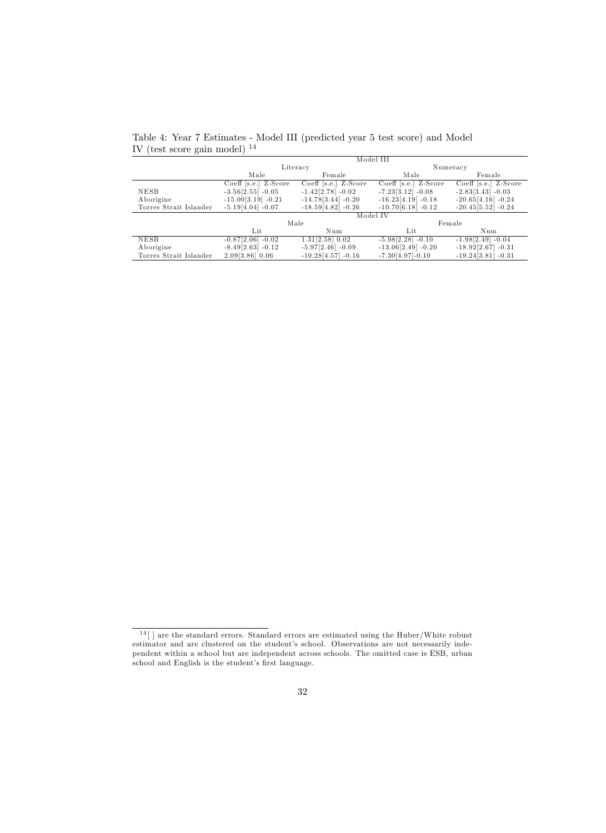|                        |                      |                      | Model III                |                            |
|------------------------|----------------------|----------------------|--------------------------|----------------------------|
|                        |                      | Literacy             |                          | Numeracy                   |
|                        | Male                 | Female               | Male                     | Female                     |
|                        | Coeff [s.e.] Z-Score | Coeff [s.e.] Z-Score | $Coeff$ [s.e.] $Z-Score$ | $Coeff$ $[s.e.]$ $Z-Score$ |
| <b>NESB</b>            | $-3.56[2.55] -0.05$  | $-1.42[2.78] -0.02$  | $-7.23[3.12] -0.08$      | $-2.83[3.43] -0.03$        |
| Aborigine              | $-15.00[3.19] -0.21$ | $-14.78[3.44] -0.20$ | $-16.23[4.19] -0.18$     | $-20.65[4.16] -0.24$       |
| Torres Strait Islander | $-5.19[4.04] -0.07$  | $-18.59[4.82] -0.26$ | $-10.70[6.18] -0.12$     | $-20.45[5.52] -0.24$       |
|                        |                      | Model IV             |                          |                            |
|                        |                      | Male                 |                          | Female                     |
|                        | Lit                  | Num                  | Lit                      | Num                        |
| <b>NESB</b>            | $-0.87[2.06] -0.02$  | $1.31[2.58]$ 0.02    | $-5.98[2.28] -0.10$      | $-1.98[2.49] -0.04$        |
| Aborigine              | $-8.49[2.63] -0.12$  | $-5.97[2.46] -0.09$  | $-13.06[2.49] -0.20$     | $-18.92[2.67] -0.31$       |
| Torres Strait Islander | $2.09[3.86]$ 0.06    | $-10.28[4.57] -0.16$ | $-7.30[4.97]-0.10$       | $-19.24[3.81] -0.31$       |

Table 4: Year 7 Estimates - Model III (predicted year 5 test score) and Model IV (test score gain model) <sup>14</sup>

 $^{14}$ [] are the standard errors. Standard errors are estimated using the Huber/White robust estimator and are clustered on the student's school. Observations are not necessarily independent within a school but are independent across schools. The omitted case is ESB, urban school and English is the student's first language.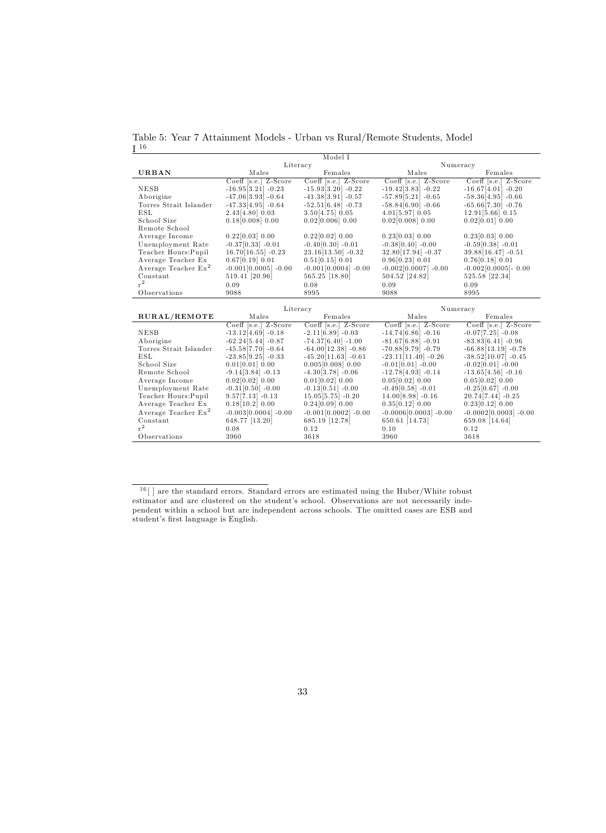Table 5: Year 7 Attainment Models - Urban vs Rural/Remote Students, Model  $\mathbf{I}^{16}$ 

| Literacy<br>Numeracy<br>Females<br><b>URBAN</b><br>Males<br>Males<br>Females<br>Coeff [s.e.] Z-Score<br>Coeff [s.e.] Z-Score<br>Coeff [s.e.] Z-Score<br>Coeff [s.e.] Z-Score<br><b>NESB</b><br>$-16.95[3.21] -0.23$<br>$-15.93[3.20] -0.22$<br>$-19.42[3.83] -0.22$<br>$-16.67[4.01] -0.20$<br>$-41.38[3.91] -0.57$<br>$-58.36[4.95] -0.66$<br>Aborigine<br>$-47.06[3.93] -0.64$<br>$-57.89[5.21] -0.65$<br>Torres Strait Islander<br>$-58.84[6.90] -0.66$<br>$-65.66[7.30] -0.76$<br>$-47.33[4.95] -0.64$<br>$-52.51[6.48] -0.73$<br><b>ESL</b><br>$2.43[4.80]$ 0.03<br>$3.50[4.75]$ 0.05<br>$4.01[5.97]$ 0.05<br>$12.91[5.66]$ 0.15<br>School Size<br>$0.18[0.008]$ 0.00<br>$0.02[0.006]$ 0.00<br>$0.02[0.008]$ 0.00<br>$0.02[0.01]$ $0.00$<br>Remote School<br>Average Income<br>$0.22[0.03]$ 0.00<br>$0.22[0.02]$ 0.00<br>$0.23[0.03]$ $0.00$<br>0.23[0.03] 0.00<br>Unemployment Rate<br>$-0.37[0.33] -0.01$<br>$-0.40[0.30] -0.01$<br>$-0.38[0.40] - 0.00$<br>$-0.59[0.38] -0.01$<br>Teacher Hours: Pupil<br>$16.70[16.55] -0.23$<br>$23.16[13.50] -0.32$<br>$32.80[17.94] -0.37$<br>$39.88[16.47] -0.51$<br>Average Teacher Ex<br>0.67[0.19] 0.01<br>0.51[0.15] 0.01<br>0.96[0.23] 0.01<br>0.76[0.18] 0.01<br>Average Teacher Ex <sup>2</sup><br>$-0.001[0.0005] -0.00$<br>$-0.001[0.0004] -0.00$<br>$-0.002[0.0007] -0.00$<br>$-0.002[0.0005] - 0.00$<br>Constant<br>519.41 [20.96]<br>565.25 [18.80]<br>504.52 [24.82]<br>525.58 [22.34]<br>$r^2$<br>0.09<br>0.08<br>0.09<br>0.09<br>Observations<br>9088<br>8995<br>9088<br>8995<br>Literacy<br>Numeracy<br>RURAL/REMOTE<br>Males<br>Females<br>Males<br>Females<br>Coeff [s.e.] Z-Score<br>Coeff [s.e.] Z-Score<br>Coeff [s.e.] Z-Score<br>Coeff [s.e.] Z-Score<br><b>NESB</b><br>$-13.12[4.69] -0.18$<br>$-2.11[6.89] -0.03$<br>$-14.74[6.86] -0.16$<br>$-0.07[7.25] -0.08$<br>$-74.37[6.40] -1.00$<br>$-81.67[6.88] -0.91$<br>$-83.83[6.41] -0.96$<br>Aborigine<br>$-62.24[5.44] -0.87$<br>Torres Strait Islander<br>$-45.58[7.70] -0.64$<br>$-64.00[12.38] -0.86$<br>$-70.88[9.79] -0.79$<br>$-66.88[13.19] -0.78$<br>ESL<br>$-45.20[11.63] -0.61$<br>$-23.11[11.40] -0.26$<br>$-23.85[9.25] -0.33$<br>$-38.52[10.07] -0.45$<br>School Size<br>$0.01[0.01]$ 0.00<br>$0.005[0.008]$ 0.00<br>$-0.01[0.01] - 0.00$<br>$-0.02[0.01] - 0.00$<br>$-4.30[3.78] -0.06$<br>Remote School<br>$-9.14[3.84] -0.13$<br>$-12.78[4.93] -0.14$<br>$-13.65[4.56] -0.16$<br>Average Income<br>$0.02[0.02]$ 0.00<br>$0.01[0.02]$ 0.00<br>$0.05[0.02]$ 0.00<br>$0.05[0.02]$ 0.00<br>Unemployment Rate<br>$-0.31[0.50] - 0.00$<br>$-0.13[0.51] - 0.00$<br>$-0.49[0.58] -0.01$<br>$-0.25[0.67] -0.00$<br>Teacher Hours: Pupil<br>$9.57[7.13] -0.13$<br>$15.05[5.75] -0.20$<br>$14.00[8.98] -0.16$<br>$20.74[7.44] - 0.25$<br>Average Teacher Ex<br>$0.24[0.09]$ 0.00<br>0.35[0.12] 0.00<br>0.23[0.12] 0.00<br>0.18[10.2] 0.00<br>Average Teacher Ex <sup>2</sup><br>$-0.003[0.0004] -0.00$<br>$-0.001[0.0002] -0.00$<br>$-0.0006[0.0003] - 0.00$<br>$-0.0002[0.0003] -0.00$<br>Constant<br>648.77 [13.20]<br>685.19 [12.78]<br>650.61 [14.73]<br>659.08 [14.64] |       |      | Model I |      |      |
|--------------------------------------------------------------------------------------------------------------------------------------------------------------------------------------------------------------------------------------------------------------------------------------------------------------------------------------------------------------------------------------------------------------------------------------------------------------------------------------------------------------------------------------------------------------------------------------------------------------------------------------------------------------------------------------------------------------------------------------------------------------------------------------------------------------------------------------------------------------------------------------------------------------------------------------------------------------------------------------------------------------------------------------------------------------------------------------------------------------------------------------------------------------------------------------------------------------------------------------------------------------------------------------------------------------------------------------------------------------------------------------------------------------------------------------------------------------------------------------------------------------------------------------------------------------------------------------------------------------------------------------------------------------------------------------------------------------------------------------------------------------------------------------------------------------------------------------------------------------------------------------------------------------------------------------------------------------------------------------------------------------------------------------------------------------------------------------------------------------------------------------------------------------------------------------------------------------------------------------------------------------------------------------------------------------------------------------------------------------------------------------------------------------------------------------------------------------------------------------------------------------------------------------------------------------------------------------------------------------------------------------------------------------------------------------------------------------------------------------------------------------------------------------------------------------------------------------------------------------------------------------------------------------------------------------------------------------------------------------------------------------------------------------------------------------------------------------------------------|-------|------|---------|------|------|
|                                                                                                                                                                                                                                                                                                                                                                                                                                                                                                                                                                                                                                                                                                                                                                                                                                                                                                                                                                                                                                                                                                                                                                                                                                                                                                                                                                                                                                                                                                                                                                                                                                                                                                                                                                                                                                                                                                                                                                                                                                                                                                                                                                                                                                                                                                                                                                                                                                                                                                                                                                                                                                                                                                                                                                                                                                                                                                                                                                                                                                                                                                        |       |      |         |      |      |
|                                                                                                                                                                                                                                                                                                                                                                                                                                                                                                                                                                                                                                                                                                                                                                                                                                                                                                                                                                                                                                                                                                                                                                                                                                                                                                                                                                                                                                                                                                                                                                                                                                                                                                                                                                                                                                                                                                                                                                                                                                                                                                                                                                                                                                                                                                                                                                                                                                                                                                                                                                                                                                                                                                                                                                                                                                                                                                                                                                                                                                                                                                        |       |      |         |      |      |
|                                                                                                                                                                                                                                                                                                                                                                                                                                                                                                                                                                                                                                                                                                                                                                                                                                                                                                                                                                                                                                                                                                                                                                                                                                                                                                                                                                                                                                                                                                                                                                                                                                                                                                                                                                                                                                                                                                                                                                                                                                                                                                                                                                                                                                                                                                                                                                                                                                                                                                                                                                                                                                                                                                                                                                                                                                                                                                                                                                                                                                                                                                        |       |      |         |      |      |
|                                                                                                                                                                                                                                                                                                                                                                                                                                                                                                                                                                                                                                                                                                                                                                                                                                                                                                                                                                                                                                                                                                                                                                                                                                                                                                                                                                                                                                                                                                                                                                                                                                                                                                                                                                                                                                                                                                                                                                                                                                                                                                                                                                                                                                                                                                                                                                                                                                                                                                                                                                                                                                                                                                                                                                                                                                                                                                                                                                                                                                                                                                        |       |      |         |      |      |
|                                                                                                                                                                                                                                                                                                                                                                                                                                                                                                                                                                                                                                                                                                                                                                                                                                                                                                                                                                                                                                                                                                                                                                                                                                                                                                                                                                                                                                                                                                                                                                                                                                                                                                                                                                                                                                                                                                                                                                                                                                                                                                                                                                                                                                                                                                                                                                                                                                                                                                                                                                                                                                                                                                                                                                                                                                                                                                                                                                                                                                                                                                        |       |      |         |      |      |
|                                                                                                                                                                                                                                                                                                                                                                                                                                                                                                                                                                                                                                                                                                                                                                                                                                                                                                                                                                                                                                                                                                                                                                                                                                                                                                                                                                                                                                                                                                                                                                                                                                                                                                                                                                                                                                                                                                                                                                                                                                                                                                                                                                                                                                                                                                                                                                                                                                                                                                                                                                                                                                                                                                                                                                                                                                                                                                                                                                                                                                                                                                        |       |      |         |      |      |
|                                                                                                                                                                                                                                                                                                                                                                                                                                                                                                                                                                                                                                                                                                                                                                                                                                                                                                                                                                                                                                                                                                                                                                                                                                                                                                                                                                                                                                                                                                                                                                                                                                                                                                                                                                                                                                                                                                                                                                                                                                                                                                                                                                                                                                                                                                                                                                                                                                                                                                                                                                                                                                                                                                                                                                                                                                                                                                                                                                                                                                                                                                        |       |      |         |      |      |
|                                                                                                                                                                                                                                                                                                                                                                                                                                                                                                                                                                                                                                                                                                                                                                                                                                                                                                                                                                                                                                                                                                                                                                                                                                                                                                                                                                                                                                                                                                                                                                                                                                                                                                                                                                                                                                                                                                                                                                                                                                                                                                                                                                                                                                                                                                                                                                                                                                                                                                                                                                                                                                                                                                                                                                                                                                                                                                                                                                                                                                                                                                        |       |      |         |      |      |
|                                                                                                                                                                                                                                                                                                                                                                                                                                                                                                                                                                                                                                                                                                                                                                                                                                                                                                                                                                                                                                                                                                                                                                                                                                                                                                                                                                                                                                                                                                                                                                                                                                                                                                                                                                                                                                                                                                                                                                                                                                                                                                                                                                                                                                                                                                                                                                                                                                                                                                                                                                                                                                                                                                                                                                                                                                                                                                                                                                                                                                                                                                        |       |      |         |      |      |
|                                                                                                                                                                                                                                                                                                                                                                                                                                                                                                                                                                                                                                                                                                                                                                                                                                                                                                                                                                                                                                                                                                                                                                                                                                                                                                                                                                                                                                                                                                                                                                                                                                                                                                                                                                                                                                                                                                                                                                                                                                                                                                                                                                                                                                                                                                                                                                                                                                                                                                                                                                                                                                                                                                                                                                                                                                                                                                                                                                                                                                                                                                        |       |      |         |      |      |
|                                                                                                                                                                                                                                                                                                                                                                                                                                                                                                                                                                                                                                                                                                                                                                                                                                                                                                                                                                                                                                                                                                                                                                                                                                                                                                                                                                                                                                                                                                                                                                                                                                                                                                                                                                                                                                                                                                                                                                                                                                                                                                                                                                                                                                                                                                                                                                                                                                                                                                                                                                                                                                                                                                                                                                                                                                                                                                                                                                                                                                                                                                        |       |      |         |      |      |
|                                                                                                                                                                                                                                                                                                                                                                                                                                                                                                                                                                                                                                                                                                                                                                                                                                                                                                                                                                                                                                                                                                                                                                                                                                                                                                                                                                                                                                                                                                                                                                                                                                                                                                                                                                                                                                                                                                                                                                                                                                                                                                                                                                                                                                                                                                                                                                                                                                                                                                                                                                                                                                                                                                                                                                                                                                                                                                                                                                                                                                                                                                        |       |      |         |      |      |
|                                                                                                                                                                                                                                                                                                                                                                                                                                                                                                                                                                                                                                                                                                                                                                                                                                                                                                                                                                                                                                                                                                                                                                                                                                                                                                                                                                                                                                                                                                                                                                                                                                                                                                                                                                                                                                                                                                                                                                                                                                                                                                                                                                                                                                                                                                                                                                                                                                                                                                                                                                                                                                                                                                                                                                                                                                                                                                                                                                                                                                                                                                        |       |      |         |      |      |
|                                                                                                                                                                                                                                                                                                                                                                                                                                                                                                                                                                                                                                                                                                                                                                                                                                                                                                                                                                                                                                                                                                                                                                                                                                                                                                                                                                                                                                                                                                                                                                                                                                                                                                                                                                                                                                                                                                                                                                                                                                                                                                                                                                                                                                                                                                                                                                                                                                                                                                                                                                                                                                                                                                                                                                                                                                                                                                                                                                                                                                                                                                        |       |      |         |      |      |
|                                                                                                                                                                                                                                                                                                                                                                                                                                                                                                                                                                                                                                                                                                                                                                                                                                                                                                                                                                                                                                                                                                                                                                                                                                                                                                                                                                                                                                                                                                                                                                                                                                                                                                                                                                                                                                                                                                                                                                                                                                                                                                                                                                                                                                                                                                                                                                                                                                                                                                                                                                                                                                                                                                                                                                                                                                                                                                                                                                                                                                                                                                        |       |      |         |      |      |
|                                                                                                                                                                                                                                                                                                                                                                                                                                                                                                                                                                                                                                                                                                                                                                                                                                                                                                                                                                                                                                                                                                                                                                                                                                                                                                                                                                                                                                                                                                                                                                                                                                                                                                                                                                                                                                                                                                                                                                                                                                                                                                                                                                                                                                                                                                                                                                                                                                                                                                                                                                                                                                                                                                                                                                                                                                                                                                                                                                                                                                                                                                        |       |      |         |      |      |
|                                                                                                                                                                                                                                                                                                                                                                                                                                                                                                                                                                                                                                                                                                                                                                                                                                                                                                                                                                                                                                                                                                                                                                                                                                                                                                                                                                                                                                                                                                                                                                                                                                                                                                                                                                                                                                                                                                                                                                                                                                                                                                                                                                                                                                                                                                                                                                                                                                                                                                                                                                                                                                                                                                                                                                                                                                                                                                                                                                                                                                                                                                        |       |      |         |      |      |
|                                                                                                                                                                                                                                                                                                                                                                                                                                                                                                                                                                                                                                                                                                                                                                                                                                                                                                                                                                                                                                                                                                                                                                                                                                                                                                                                                                                                                                                                                                                                                                                                                                                                                                                                                                                                                                                                                                                                                                                                                                                                                                                                                                                                                                                                                                                                                                                                                                                                                                                                                                                                                                                                                                                                                                                                                                                                                                                                                                                                                                                                                                        |       |      |         |      |      |
|                                                                                                                                                                                                                                                                                                                                                                                                                                                                                                                                                                                                                                                                                                                                                                                                                                                                                                                                                                                                                                                                                                                                                                                                                                                                                                                                                                                                                                                                                                                                                                                                                                                                                                                                                                                                                                                                                                                                                                                                                                                                                                                                                                                                                                                                                                                                                                                                                                                                                                                                                                                                                                                                                                                                                                                                                                                                                                                                                                                                                                                                                                        |       |      |         |      |      |
|                                                                                                                                                                                                                                                                                                                                                                                                                                                                                                                                                                                                                                                                                                                                                                                                                                                                                                                                                                                                                                                                                                                                                                                                                                                                                                                                                                                                                                                                                                                                                                                                                                                                                                                                                                                                                                                                                                                                                                                                                                                                                                                                                                                                                                                                                                                                                                                                                                                                                                                                                                                                                                                                                                                                                                                                                                                                                                                                                                                                                                                                                                        |       |      |         |      |      |
|                                                                                                                                                                                                                                                                                                                                                                                                                                                                                                                                                                                                                                                                                                                                                                                                                                                                                                                                                                                                                                                                                                                                                                                                                                                                                                                                                                                                                                                                                                                                                                                                                                                                                                                                                                                                                                                                                                                                                                                                                                                                                                                                                                                                                                                                                                                                                                                                                                                                                                                                                                                                                                                                                                                                                                                                                                                                                                                                                                                                                                                                                                        |       |      |         |      |      |
|                                                                                                                                                                                                                                                                                                                                                                                                                                                                                                                                                                                                                                                                                                                                                                                                                                                                                                                                                                                                                                                                                                                                                                                                                                                                                                                                                                                                                                                                                                                                                                                                                                                                                                                                                                                                                                                                                                                                                                                                                                                                                                                                                                                                                                                                                                                                                                                                                                                                                                                                                                                                                                                                                                                                                                                                                                                                                                                                                                                                                                                                                                        |       |      |         |      |      |
|                                                                                                                                                                                                                                                                                                                                                                                                                                                                                                                                                                                                                                                                                                                                                                                                                                                                                                                                                                                                                                                                                                                                                                                                                                                                                                                                                                                                                                                                                                                                                                                                                                                                                                                                                                                                                                                                                                                                                                                                                                                                                                                                                                                                                                                                                                                                                                                                                                                                                                                                                                                                                                                                                                                                                                                                                                                                                                                                                                                                                                                                                                        |       |      |         |      |      |
|                                                                                                                                                                                                                                                                                                                                                                                                                                                                                                                                                                                                                                                                                                                                                                                                                                                                                                                                                                                                                                                                                                                                                                                                                                                                                                                                                                                                                                                                                                                                                                                                                                                                                                                                                                                                                                                                                                                                                                                                                                                                                                                                                                                                                                                                                                                                                                                                                                                                                                                                                                                                                                                                                                                                                                                                                                                                                                                                                                                                                                                                                                        |       |      |         |      |      |
|                                                                                                                                                                                                                                                                                                                                                                                                                                                                                                                                                                                                                                                                                                                                                                                                                                                                                                                                                                                                                                                                                                                                                                                                                                                                                                                                                                                                                                                                                                                                                                                                                                                                                                                                                                                                                                                                                                                                                                                                                                                                                                                                                                                                                                                                                                                                                                                                                                                                                                                                                                                                                                                                                                                                                                                                                                                                                                                                                                                                                                                                                                        |       |      |         |      |      |
|                                                                                                                                                                                                                                                                                                                                                                                                                                                                                                                                                                                                                                                                                                                                                                                                                                                                                                                                                                                                                                                                                                                                                                                                                                                                                                                                                                                                                                                                                                                                                                                                                                                                                                                                                                                                                                                                                                                                                                                                                                                                                                                                                                                                                                                                                                                                                                                                                                                                                                                                                                                                                                                                                                                                                                                                                                                                                                                                                                                                                                                                                                        |       |      |         |      |      |
|                                                                                                                                                                                                                                                                                                                                                                                                                                                                                                                                                                                                                                                                                                                                                                                                                                                                                                                                                                                                                                                                                                                                                                                                                                                                                                                                                                                                                                                                                                                                                                                                                                                                                                                                                                                                                                                                                                                                                                                                                                                                                                                                                                                                                                                                                                                                                                                                                                                                                                                                                                                                                                                                                                                                                                                                                                                                                                                                                                                                                                                                                                        |       |      |         |      |      |
|                                                                                                                                                                                                                                                                                                                                                                                                                                                                                                                                                                                                                                                                                                                                                                                                                                                                                                                                                                                                                                                                                                                                                                                                                                                                                                                                                                                                                                                                                                                                                                                                                                                                                                                                                                                                                                                                                                                                                                                                                                                                                                                                                                                                                                                                                                                                                                                                                                                                                                                                                                                                                                                                                                                                                                                                                                                                                                                                                                                                                                                                                                        |       |      |         |      |      |
|                                                                                                                                                                                                                                                                                                                                                                                                                                                                                                                                                                                                                                                                                                                                                                                                                                                                                                                                                                                                                                                                                                                                                                                                                                                                                                                                                                                                                                                                                                                                                                                                                                                                                                                                                                                                                                                                                                                                                                                                                                                                                                                                                                                                                                                                                                                                                                                                                                                                                                                                                                                                                                                                                                                                                                                                                                                                                                                                                                                                                                                                                                        |       |      |         |      |      |
|                                                                                                                                                                                                                                                                                                                                                                                                                                                                                                                                                                                                                                                                                                                                                                                                                                                                                                                                                                                                                                                                                                                                                                                                                                                                                                                                                                                                                                                                                                                                                                                                                                                                                                                                                                                                                                                                                                                                                                                                                                                                                                                                                                                                                                                                                                                                                                                                                                                                                                                                                                                                                                                                                                                                                                                                                                                                                                                                                                                                                                                                                                        |       |      |         |      |      |
|                                                                                                                                                                                                                                                                                                                                                                                                                                                                                                                                                                                                                                                                                                                                                                                                                                                                                                                                                                                                                                                                                                                                                                                                                                                                                                                                                                                                                                                                                                                                                                                                                                                                                                                                                                                                                                                                                                                                                                                                                                                                                                                                                                                                                                                                                                                                                                                                                                                                                                                                                                                                                                                                                                                                                                                                                                                                                                                                                                                                                                                                                                        |       |      |         |      |      |
|                                                                                                                                                                                                                                                                                                                                                                                                                                                                                                                                                                                                                                                                                                                                                                                                                                                                                                                                                                                                                                                                                                                                                                                                                                                                                                                                                                                                                                                                                                                                                                                                                                                                                                                                                                                                                                                                                                                                                                                                                                                                                                                                                                                                                                                                                                                                                                                                                                                                                                                                                                                                                                                                                                                                                                                                                                                                                                                                                                                                                                                                                                        |       |      |         |      |      |
|                                                                                                                                                                                                                                                                                                                                                                                                                                                                                                                                                                                                                                                                                                                                                                                                                                                                                                                                                                                                                                                                                                                                                                                                                                                                                                                                                                                                                                                                                                                                                                                                                                                                                                                                                                                                                                                                                                                                                                                                                                                                                                                                                                                                                                                                                                                                                                                                                                                                                                                                                                                                                                                                                                                                                                                                                                                                                                                                                                                                                                                                                                        |       |      |         |      |      |
|                                                                                                                                                                                                                                                                                                                                                                                                                                                                                                                                                                                                                                                                                                                                                                                                                                                                                                                                                                                                                                                                                                                                                                                                                                                                                                                                                                                                                                                                                                                                                                                                                                                                                                                                                                                                                                                                                                                                                                                                                                                                                                                                                                                                                                                                                                                                                                                                                                                                                                                                                                                                                                                                                                                                                                                                                                                                                                                                                                                                                                                                                                        |       |      |         |      |      |
| Observations<br>3960<br>3618<br>3960<br>3618                                                                                                                                                                                                                                                                                                                                                                                                                                                                                                                                                                                                                                                                                                                                                                                                                                                                                                                                                                                                                                                                                                                                                                                                                                                                                                                                                                                                                                                                                                                                                                                                                                                                                                                                                                                                                                                                                                                                                                                                                                                                                                                                                                                                                                                                                                                                                                                                                                                                                                                                                                                                                                                                                                                                                                                                                                                                                                                                                                                                                                                           | $r^2$ | 0.08 | 0.12    | 0.10 | 0.12 |

 $^{16}$ [] are the standard errors. Standard errors are estimated using the Huber/White robust estimator and are clustered on the student's school. Observations are not necessarily independent within a school but are independent across schools. The omitted cases are ESB and student's first language is English.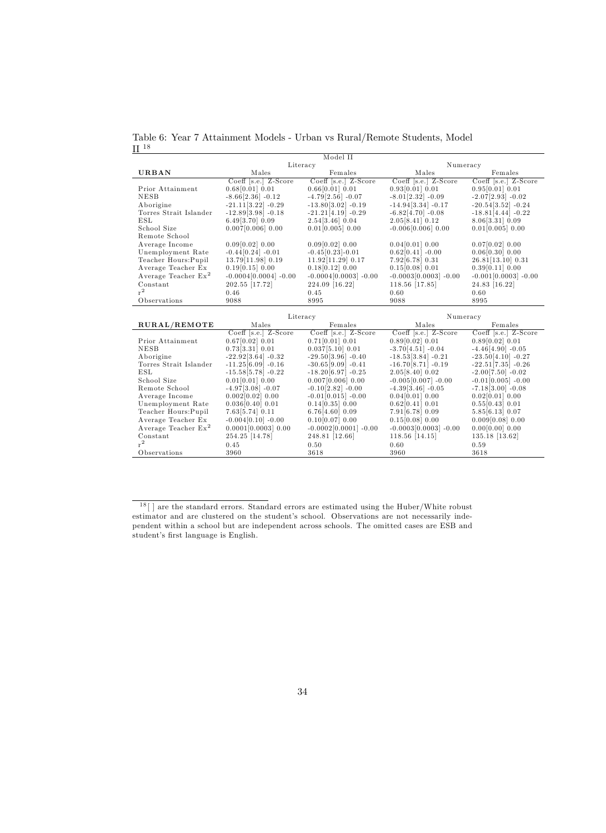Table 6: Year 7 Attainment Models - Urban vs Rural/Remote Students, Model II <sup>18</sup> M odel II

|                                 | Literacy                | Model II                 | Numeracy                |                        |
|---------------------------------|-------------------------|--------------------------|-------------------------|------------------------|
| <b>URBAN</b>                    | Males                   | Females                  | Males                   | Females                |
|                                 | Coeff [s.e.] Z-Score    | Coeff [s.e.] Z-Score     | Coeff [s.e.] Z-Score    | Coeff [s.e.] Z-Score   |
| Prior Attainment                | $0.68[0.01]$ $0.01$     | $0.66[0.01]$ $0.01$      | $0.93[0.01]$ $0.01$     | $0.95[0.01]$ $0.01$    |
| <b>NESB</b>                     | $-8.66[2.36] -0.12$     | $-4.79[2.56] -0.07$      | $-8.01[2.32] -0.09$     | $-2.07[2.93] -0.02$    |
| Aborigine                       | $-21.11[3.22] -0.29$    | $-13.80[3.02] -0.19$     | $-14.94[3.34] -0.17$    | $-20.54[3.52] -0.24$   |
| Torres Strait Islander          | $-12.89[3.98] -0.18$    | $-21.21[4.19] -0.29$     | $-6.82[4.70] -0.08$     | $-18.81[4.44] -0.22$   |
| ESL                             | $6.49[3.70]$ 0.09       | $2.54[3.46]$ 0.04        | 2.05[8.41] 0.12         | $8.06[3.31]$ 0.09      |
| School Size                     | $0.007[0.006]$ 0.00     | $0.01[0.005]$ 0.00       | $-0.006[0.006]$ 0.00    | $0.01[0.005]$ 0.00     |
| Remote School                   |                         |                          |                         |                        |
| Average Income                  | $0.09[0.02]$ 0.00       | $0.09[0.02]$ $0.00$      | $0.04[0.01]$ $0.00$     | $0.07[0.02]$ 0.00      |
| Unemployment Rate               | $-0.44[0.24] -0.01$     | $-0.45[0.23] - 0.01$     | $0.62[0.41] - 0.00$     | 0.06[0.30] 0.00        |
| Teacher Hours: Pupil            | 13.79 [11.98] 0.19      | $11.92[11.29]$ 0.17      | $7.92[6.78]$ 0.31       | $26.81[13.10]$ 0.31    |
| Average Teacher Ex              | 0.19[0.15] 0.00         | 0.18[0.12] 0.00          | 0.15[0.08] 0.01         | 0.39[0.11] 0.00        |
| Average Teacher Ex <sup>2</sup> | $-0.0004[0.0004] -0.00$ | $-0.0004[0.0003] -0.00$  | $-0.0003[0.0003] -0.00$ | $-0.001[0.0003] -0.00$ |
| Constant                        | 202.55 [17.72]          | 224.09 [16.22]           | 118.56 [17.85]          | 24.83 [16.22]          |
| $r^2$                           | 0.46                    | 0.45                     | 0.60                    | 0.60                   |
| Observations                    | 9088                    | 8995                     | 9088                    | 8995                   |
|                                 | Literacy                |                          | Numeracy                |                        |
| RURAL/REMOTE                    | Males                   | Females                  | Males                   | Females                |
|                                 | Coeff [s.e.] Z-Score    | Coeff [s.e.] Z-Score     | Coeff [s.e.] Z-Score    | Coeff [s.e.] Z-Score   |
| Prior Attainment                | $0.67[0.02]$ $0.01$     | $0.71[0.01]$ $0.01$      | $0.89[0.02]$ $0.01$     | $0.89[0.02]$ $0.01$    |
| <b>NESB</b>                     | $0.73[3.31]$ $0.01$     | 0.037[5.10] 0.01         | $-3.70[4.51] - 0.04$    | $-4.46[4.90] -0.05$    |
| Aborigine                       | $-22.92[3.64] -0.32$    | $-29.50[3.96] -0.40$     | $-18.53[3.84] -0.21$    | $-23.50[4.10] -0.27$   |
| Torres Strait Islander          | $-11.25[6.09] -0.16$    | $-30.65[9.09] -0.41$     | $-16.70[8.71] -0.19$    | $-22.51[7.35] -0.26$   |
| <b>ESL</b>                      | $-15.58[5.78] -0.22$    | $-18.20[6.97] -0.25$     | 2.05[8.40] 0.02         | $-2.00[7.50] -0.02$    |
| School Size                     | $0.01[0.01]$ $0.00$     | $0.007[0.006]$ 0.00      | $-0.005[0.007] -0.00$   | $-0.01[0.005] -0.00$   |
| Remote School                   | $-4.97[3.08] -0.07$     | $-0.10[2.82] -0.00$      | $-4.39[3.46] -0.05$     | $-7.18[3.00] -0.08$    |
| Average Income                  | $0.002[0.02]$ 0.00      | $-0.01[0.015] -0.00$     | $0.04[0.01]$ $0.00$     | $0.02[0.01]$ $0.00$    |
| Unemployment Rate               | 0.036[0.40] 0.01        | $0.14[0.35]$ 0.00        | $0.62[0.41]$ $0.01$     | 0.55[0.43] 0.01        |
| Teacher Hours: Pupil            | 7.63[5.74]0.11          | $6.76[4.60]$ 0.09        | 7.91[6.78]0.09          | 5.85[6.13] 0.07        |
| Average Teacher Ex              | $-0.004[0.10] - 0.00$   | 0.10[0.07] 0.00          | 0.15[0.08] 0.00         | 0.009[0.08] 0.00       |
| Average Teacher Ex <sup>2</sup> | $0.0001[0.0003]$ 0.00   | $-0.0002[0.0001] - 0.00$ | $-0.0003[0.0003] -0.00$ | $0.00[0.00]$ $0.00$    |
| Constant                        |                         | 248.81 [12.66]           | 118.56 [14.15]          | 135.18 [13.62]         |
|                                 | 254.25 [14.78]          |                          |                         |                        |
| $r^2$                           | 0.45                    | 0.50<br>3618             | 0.60                    | 0.59<br>3618           |

 $^{18}$ [] are the standard errors. Standard errors are estimated using the Huber/White robust estimator and are clustered on the student's school. Observations are not necessarily independent within a school but are independent across schools. The omitted cases are ESB and student's first language is English.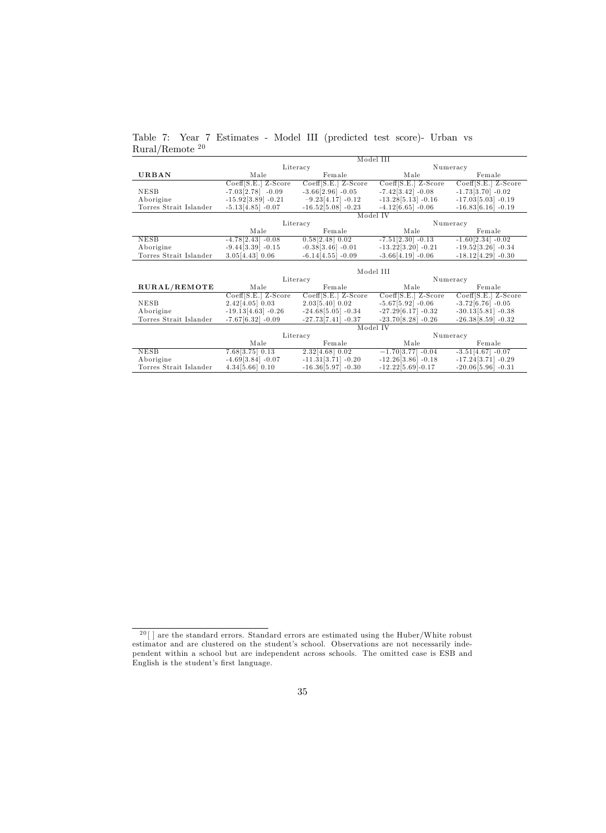Table 7: Year 7 Estimates - Model III (predicted test score)- Urban vs Rural/Remote <sup>20</sup>

|                                     |                                          |                                              | Model III                                   |                                              |
|-------------------------------------|------------------------------------------|----------------------------------------------|---------------------------------------------|----------------------------------------------|
|                                     |                                          | Literacy                                     |                                             | Numeracy                                     |
| <b>URBAN</b>                        | Male                                     | Female                                       | Male                                        | Female                                       |
|                                     | $Coeff[S.E.]$ $Z-Score$                  | $Coeff[S.E.]$ $Z-Score$                      | Coeff[S.E.] Z-Score                         | Coeff[S.E.] Z-Score                          |
| <b>NESB</b>                         | $-7.03[2.78] -0.09$                      | $-3.66[2.96] -0.05$                          | $-7.42[3.42] -0.08$                         | $-1.73[3.70] -0.02$                          |
| Aborigine                           | $-15.92[3.89] -0.21$                     | $-9.23[4.17] -0.12$                          | $-13.28[5.13] -0.16$                        | $-17.03[5.03] -0.19$                         |
| Torres Strait Islander              | $-5.13[4.85] -0.07$                      | $-16.52[5.08] -0.23$                         | $-4.12[6.65] -0.06$                         | $-16.83[6.16] -0.19$                         |
|                                     |                                          | Model IV                                     |                                             |                                              |
|                                     |                                          | Literacy                                     |                                             | Numeracy                                     |
|                                     | Male                                     | Female                                       | Male                                        | Female                                       |
| <b>NESB</b>                         | $-4.78[2.43] - 0.08$                     | 0.58[2.48] 0.02                              | $-7.51[2.30] -0.13$                         | $-1.60[2.34] - 0.02$                         |
| Aborigine                           | $-9.44[3.39] -0.15$                      | $-0.38[3.46] -0.01$                          | $-13.22[3.20] -0.21$                        | $-19.52[3.26] -0.34$                         |
| Torres Strait Islander              | $3.05[4.43]$ 0.06                        | $-6.14[4.55] - 0.09$                         | $-3.66[4.19] -0.06$                         | $-18.12[4.29] -0.30$                         |
|                                     |                                          |                                              |                                             |                                              |
|                                     |                                          |                                              | Model III                                   |                                              |
|                                     |                                          |                                              |                                             |                                              |
|                                     |                                          | Literacy                                     |                                             | Numeracy                                     |
| RURAL/REMOTE                        | Male                                     | Female                                       | Male                                        | Female                                       |
|                                     | Coeff[S.E.] Z-Score                      | Coeff[S.E.] Z-Score                          | $Coeff[S.E.]$ $Z-Score$                     | Coeff[S.E.] Z-Score                          |
| <b>NESB</b>                         | $2.42[4.05]$ 0.03                        | 2.03[5.40] 0.02                              | $-5.67[5.92] -0.06$                         | $-3.72[6.76] -0.05$                          |
| Aborigine                           | $-19.13[4.63] -0.26$                     | $-24.68[5.05] -0.34$                         | $-27.29[6.17] -0.32$                        | $-30.13[5.81] -0.38$                         |
| Torres Strait Islander              | $-7.67[6.32] -0.09$                      | $-27.73[7.41] -0.37$                         | $-23.70[8.28] -0.26$                        | $-26.38[8.59] -0.32$                         |
|                                     |                                          | Model IV                                     |                                             |                                              |
|                                     |                                          | Literacy                                     |                                             | Numeracy                                     |
|                                     | Male                                     | Female                                       | Male                                        | Female                                       |
| NESB                                | $7.68[3.75]$ 0.13                        | $2.32[4.68]$ 0.02                            | $-1.70[3.77] -0.04$                         | $-3.51[4.67] -0.07$                          |
| Aborigine<br>Torres Strait Islander | $-4.69[3.84] -0.07$<br>$4.34[5.66]$ 0.10 | $-11.31[3.71] -0.20$<br>$-16.36[5.97] -0.30$ | $-12.26[3.86] -0.18$<br>$-12.22[5.69]-0.17$ | $-17.24[3.71] -0.29$<br>$-20.06[5.96] -0.31$ |

 $^{20}[ ]$  are the standard errors. Standard errors are estimated using the Huber/White robust estimator and are clustered on the student's school. Observations are not necessarily independent within a school but are independent across schools. The omitted case is ESB and English is the student's first language.